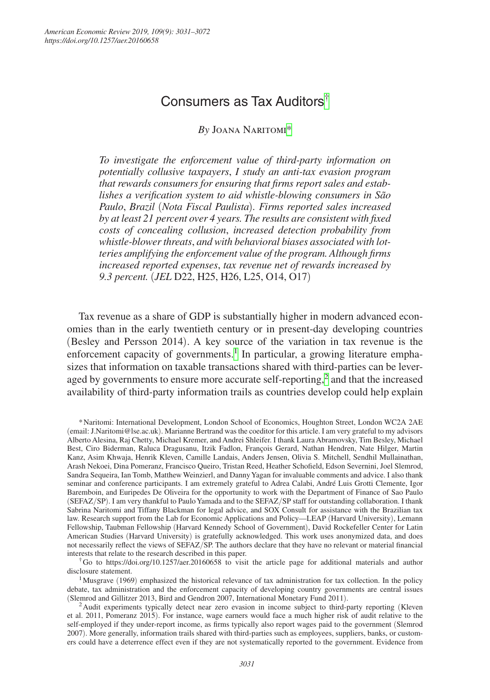# Consumers as Tax Auditors[†](#page-0-0)

*By* Joana Naritomi[\\*](#page-0-1)

*To investigate the enforcement value of third-party information on potentially collusive taxpayers*, *I study an anti-tax evasion program that rewards consumers for ensuring that firms report sales and establishes a verification system to aid whistle-blowing consumers in São Paulo*, *Brazil* (*Nota Fiscal Paulista*)*. Firms reported sales increased by at least 21 percent over 4 years. The results are consistent with fixed costs of concealing collusion*, *increased detection probability from whistle-blower threats*, *and with behavioral biases associated with lotteries amplifying the enforcement value of the program. Although firms increased reported expenses*, *tax revenue net of rewards increased by 9.3 percent.* (*JEL* D22, H25, H26, L25, O14, O17)

Tax revenue as a share of GDP is substantially higher in modern advanced economies than in the early twentieth century or in present-day developing countries (Besley and Persson 2014). A key source of the variation in tax revenue is the enforcement capacity of governments.<sup>[1](#page-0-2)</sup> In particular, a growing literature emphasizes that information on taxable transactions shared with third-parties can be lever-aged by governments to ensure more accurate self-reporting,<sup>[2](#page-0-3)</sup> and that the increased availability of third-party information trails as countries develop could help explain

<span id="page-0-0"></span>†Go to <https://doi.org/10.1257/aer.20160658>to visit the article page for additional materials and author disclosure statement.

<span id="page-0-1"></span><sup>\*</sup>Naritomi: International Development, London School of Economics, Houghton Street, London WC2A 2AE (email: [J.Naritomi@lse.ac.uk](mailto:J.Naritomi@lse.ac.uk)). Marianne Bertrand was the coeditor for this article. I am very grateful to my advisors Alberto Alesina, Raj Chetty, Michael Kremer, and Andrei Shleifer. I thank Laura Abramovsky, Tim Besley, Michael Best, Ciro Biderman, Raluca Dragusanu, Itzik Fadlon, François Gerard, Nathan Hendren, Nate Hilger, Martin Kanz, Asim Khwaja, Henrik Kleven, Camille Landais, Anders Jensen, Olivia S. Mitchell, Sendhil Mullainathan, Arash Nekoei, Dina Pomeranz, Francisco Queiro, Tristan Reed, Heather Schofield, Edson Severnini, Joel Slemrod, Sandra Sequeira, Ian Tomb, Matthew Weinzierl, and Danny Yagan for invaluable comments and advice. I also thank seminar and conference participants. I am extremely grateful to Adrea Calabi, André Luis Grotti Clemente, Igor Baremboin, and Euripedes De Oliveira for the opportunity to work with the Department of Finance of Sao Paulo (SEFAZ/SP). I am very thankful to Paulo Yamada and to the SEFAZ/SP staff for outstanding collaboration. I thank Sabrina Naritomi and Tiffany Blackman for legal advice, and SOX Consult for assistance with the Brazilian tax law. Research support from the Lab for Economic Applications and Policy—LEAP (Harvard University), Lemann Fellowship, Taubman Fellowship (Harvard Kennedy School of Government), David Rockefeller Center for Latin American Studies (Harvard University) is gratefully acknowledged. This work uses anonymized data, and does not necessarily reflect the views of SEFAZ/SP. The authors declare that they have no relevant or material financial interests that relate to the research described in this paper.

<span id="page-0-2"></span><sup>&</sup>lt;sup>1</sup>Musgrave (1969) emphasized the historical relevance of tax administration for tax collection. In the policy debate, tax administration and the enforcement capacity of developing country governments are central issues (Slemrod and Gillitzer 2013, Bird and Gendron 2007, International Monetary Fund 2011). 2Audit experiments typically detect near zero evasion in income subject to third-party reporting (Kleven

<span id="page-0-3"></span>et al. 2011, Pomeranz 2015). For instance, wage earners would face a much higher risk of audit relative to the self-employed if they under-report income, as firms typically also report wages paid to the government (Slemrod 2007). More generally, information trails shared with third-parties such as employees, suppliers, banks, or customers could have a deterrence effect even if they are not systematically reported to the government. Evidence from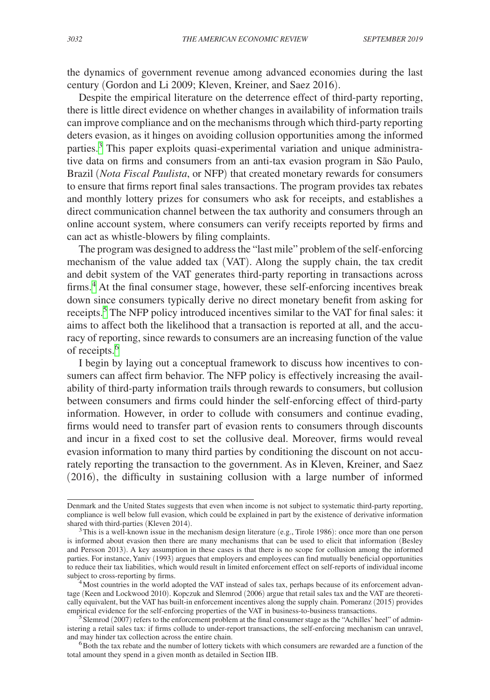the dynamics of government revenue among advanced economies during the last century (Gordon and Li 2009; Kleven, Kreiner, and Saez 2016).

Despite the empirical literature on the deterrence effect of third-party reporting, there is little direct evidence on whether changes in availability of information trails can improve compliance and on the mechanisms through which third-party reporting deters evasion, as it hinges on avoiding collusion opportunities among the informed parties.<sup>3</sup> This paper exploits quasi-experimental variation and unique administrative data on firms and consumers from an anti-tax evasion program in São Paulo, Brazil (*Nota Fiscal Paulista*, or NFP) that created monetary rewards for consumers to ensure that firms report final sales transactions. The program provides tax rebates and monthly lottery prizes for consumers who ask for receipts, and establishes a direct communication channel between the tax authority and consumers through an online account system, where consumers can verify receipts reported by firms and can act as whistle-blowers by filing complaints.

The program was designed to address the "last mile" problem of the self-enforcing mechanism of the value added tax (VAT). Along the supply chain, the tax credit and debit system of the VAT generates third-party reporting in transactions across firms.<sup>[4](#page-1-1)</sup> At the final consumer stage, however, these self-enforcing incentives break down since consumers typically derive no direct monetary benefit from asking for receipts.<sup>[5](#page-1-2)</sup> The NFP policy introduced incentives similar to the VAT for final sales: it aims to affect both the likelihood that a transaction is reported at all, and the accuracy of reporting, since rewards to consumers are an increasing function of the value of receipts.<sup>[6](#page-1-3)</sup>

I begin by laying out a conceptual framework to discuss how incentives to consumers can affect firm behavior. The NFP policy is effectively increasing the availability of third-party information trails through rewards to consumers, but collusion between consumers and firms could hinder the self-enforcing effect of third-party information. However, in order to collude with consumers and continue evading, firms would need to transfer part of evasion rents to consumers through discounts and incur in a fixed cost to set the collusive deal. Moreover, firms would reveal evasion information to many third parties by conditioning the discount on not accurately reporting the transaction to the government. As in Kleven, Kreiner, and Saez (2016), the difficulty in sustaining collusion with a large number of informed

Denmark and the United States suggests that even when income is not subject to systematic third-party reporting, compliance is well below full evasion, which could be explained in part by the existence of derivative information shared with third-parties (Kleven 2014).

<span id="page-1-0"></span> $3$ This is a well-known issue in the mechanism design literature (e.g., Tirole 1986): once more than one person is informed about evasion then there are many mechanisms that can be used to elicit that information (Besley and Persson 2013). A key assumption in these cases is that there is no scope for collusion among the informed parties. For instance, Yaniv (1993) argues that employers and employees can find mutually beneficial opportunities to reduce their tax liabilities, which would result in limited enforcement effect on self-reports of individual income subject to cross-reporting by firms.<br><sup>4</sup>Most countries in the world adopted the VAT instead of sales tax, perhaps because of its enforcement advan-

<span id="page-1-1"></span>tage (Keen and Lockwood 2010). Kopczuk and Slemrod (2006) argue that retail sales tax and the VAT are theoretically equivalent, but the VAT has built-in enforcement incentives along the supply chain. Pomeranz (2015) provides empirical evidence for the self-enforcing properties of the VAT in business-to-business transactions.

<span id="page-1-2"></span> $5$  Slemrod (2007) refers to the enforcement problem at the final consumer stage as the "Achilles' heel" of administering a retail sales tax: if firms collude to under-report transactions, the self-enforcing mechanism can unravel, and may hinder tax collection across the entire chain.

<span id="page-1-3"></span> $6$ Both the tax rebate and the number of lottery tickets with which consumers are rewarded are a function of the total amount they spend in a given month as detailed in Section IIB.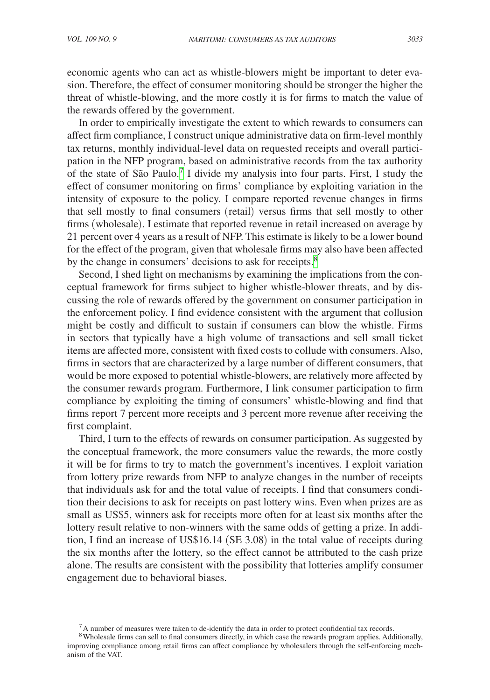economic agents who can act as whistle-blowers might be important to deter evasion. Therefore, the effect of consumer monitoring should be stronger the higher the threat of whistle-blowing, and the more costly it is for firms to match the value of the rewards offered by the government.

In order to empirically investigate the extent to which rewards to consumers can affect firm compliance, I construct unique administrative data on firm-level monthly tax returns, monthly individual-level data on requested receipts and overall participation in the NFP program, based on administrative records from the tax authority of the state of São Paulo[.7](#page-2-0) I divide my analysis into four parts. First, I study the effect of consumer monitoring on firms' compliance by exploiting variation in the intensity of exposure to the policy. I compare reported revenue changes in firms that sell mostly to final consumers (retail) versus firms that sell mostly to other firms (wholesale). I estimate that reported revenue in retail increased on average by 21 percent over 4 years as a result of NFP. This estimate is likely to be a lower bound for the effect of the program, given that wholesale firms may also have been affected by the change in consumers' decisions to ask for receipts.<sup>[8](#page-2-1)</sup>

Second, I shed light on mechanisms by examining the implications from the conceptual framework for firms subject to higher whistle-blower threats, and by discussing the role of rewards offered by the government on consumer participation in the enforcement policy. I find evidence consistent with the argument that collusion might be costly and difficult to sustain if consumers can blow the whistle. Firms in sectors that typically have a high volume of transactions and sell small ticket items are affected more, consistent with fixed costs to collude with consumers. Also, firms in sectors that are characterized by a large number of different consumers, that would be more exposed to potential whistle-blowers, are relatively more affected by the consumer rewards program. Furthermore, I link consumer participation to firm compliance by exploiting the timing of consumers' whistle-blowing and find that firms report 7 percent more receipts and 3 percent more revenue after receiving the first complaint.

Third, I turn to the effects of rewards on consumer participation. As suggested by the conceptual framework, the more consumers value the rewards, the more costly it will be for firms to try to match the government's incentives. I exploit variation from lottery prize rewards from NFP to analyze changes in the number of receipts that individuals ask for and the total value of receipts. I find that consumers condition their decisions to ask for receipts on past lottery wins. Even when prizes are as small as US\$5, winners ask for receipts more often for at least six months after the lottery result relative to non-winners with the same odds of getting a prize. In addition, I find an increase of US\$16.14 (SE 3.08) in the total value of receipts during the six months after the lottery, so the effect cannot be attributed to the cash prize alone. The results are consistent with the possibility that lotteries amplify consumer engagement due to behavioral biases.

<span id="page-2-1"></span><span id="page-2-0"></span>

 $^7$ A number of measures were taken to de-identify the data in order to protect confidential tax records.  $^8$ Wholesale firms can sell to final consumers directly, in which case the rewards program applies. Additionally, improving compliance among retail firms can affect compliance by wholesalers through the self-enforcing mechanism of the VAT.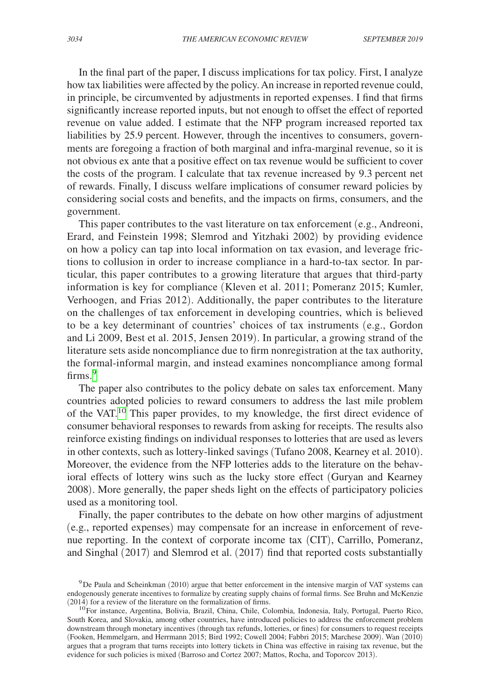In the final part of the paper, I discuss implications for tax policy. First, I analyze how tax liabilities were affected by the policy. An increase in reported revenue could, in principle, be circumvented by adjustments in reported expenses. I find that firms significantly increase reported inputs, but not enough to offset the effect of reported revenue on value added. I estimate that the NFP program increased reported tax liabilities by 25.9 percent. However, through the incentives to consumers, governments are foregoing a fraction of both marginal and infra-marginal revenue, so it is not obvious ex ante that a positive effect on tax revenue would be sufficient to cover the costs of the program. I calculate that tax revenue increased by 9.3 percent net of rewards. Finally, I discuss welfare implications of consumer reward policies by considering social costs and benefits, and the impacts on firms, consumers, and the government.

This paper contributes to the vast literature on tax enforcement (e.g., Andreoni, Erard, and Feinstein 1998; Slemrod and Yitzhaki 2002) by providing evidence on how a policy can tap into local information on tax evasion, and leverage frictions to collusion in order to increase compliance in a hard-to-tax sector. In particular, this paper contributes to a growing literature that argues that third-party information is key for compliance (Kleven et al. 2011; Pomeranz 2015; Kumler, Verhoogen, and Frias 2012). Additionally, the paper contributes to the literature on the challenges of tax enforcement in developing countries, which is believed to be a key determinant of countries' choices of tax instruments (e.g., Gordon and Li 2009, Best et al. 2015, Jensen 2019). In particular, a growing strand of the literature sets aside noncompliance due to firm nonregistration at the tax authority, the formal-informal margin, and instead examines noncompliance among formal firms.<sup>[9](#page-3-0)</sup>

The paper also contributes to the policy debate on sales tax enforcement. Many countries adopted policies to reward consumers to address the last mile problem of the VAT.<sup>10</sup> This paper provides, to my knowledge, the first direct evidence of consumer behavioral responses to rewards from asking for receipts. The results also reinforce existing findings on individual responses to lotteries that are used as levers in other contexts, such as lottery-linked savings (Tufano 2008, Kearney et al. 2010). Moreover, the evidence from the NFP lotteries adds to the literature on the behavioral effects of lottery wins such as the lucky store effect (Guryan and Kearney 2008). More generally, the paper sheds light on the effects of participatory policies used as a monitoring tool.

Finally, the paper contributes to the debate on how other margins of adjustment (e.g., reported expenses) may compensate for an increase in enforcement of revenue reporting. In the context of corporate income tax (CIT), Carrillo, Pomeranz, and Singhal (2017) and Slemrod et al. (2017) find that reported costs substantially

<span id="page-3-0"></span><sup>9</sup>De Paula and Scheinkman (2010) argue that better enforcement in the intensive margin of VAT systems can endogenously generate incentives to formalize by creating supply chains of formal firms. See Bruhn and McKenzie (2014) for a review of the literature on the formalization of firms.

<span id="page-3-1"></span><sup>&</sup>lt;sup>10</sup>For instance, Argentina, Bolivia, Brazil, China, Chile, Colombia, Indonesia, Italy, Portugal, Puerto Rico, South Korea, and Slovakia, among other countries, have introduced policies to address the enforcement problem downstream through monetary incentives (through tax refunds, lotteries, or fines) for consumers to request receipts (Fooken, Hemmelgarn, and Herrmann 2015; Bird 1992; Cowell 2004; Fabbri 2015; Marchese 2009). Wan (2010) argues that a program that turns receipts into lottery tickets in China was effective in raising tax revenue, but the evidence for such policies is mixed (Barroso and Cortez 2007; Mattos, Rocha, and Toporcov 2013).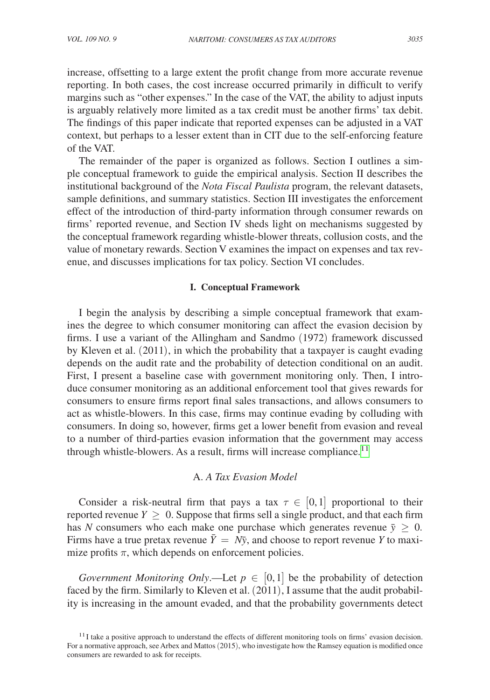increase, offsetting to a large extent the profit change from more accurate revenue reporting. In both cases, the cost increase occurred primarily in difficult to verify margins such as "other expenses." In the case of the VAT, the ability to adjust inputs is arguably relatively more limited as a tax credit must be another firms' tax debit. The findings of this paper indicate that reported expenses can be adjusted in a VAT context, but perhaps to a lesser extent than in CIT due to the self-enforcing feature of the VAT.

The remainder of the paper is organized as follows. Section I outlines a simple conceptual framework to guide the empirical analysis. Section II describes the institutional background of the *Nota Fiscal Paulista* program, the relevant datasets, sample definitions, and summary statistics. Section III investigates the enforcement effect of the introduction of third-party information through consumer rewards on firms' reported revenue, and Section IV sheds light on mechanisms suggested by the conceptual framework regarding whistle-blower threats, collusion costs, and the value of monetary rewards. Section V examines the impact on expenses and tax revenue, and discusses implications for tax policy. Section VI concludes.

## **I. Conceptual Framework**

I begin the analysis by describing a simple conceptual framework that examines the degree to which consumer monitoring can affect the evasion decision by firms. I use a variant of the Allingham and Sandmo (1972) framework discussed by Kleven et al. (2011), in which the probability that a taxpayer is caught evading depends on the audit rate and the probability of detection conditional on an audit. First, I present a baseline case with government monitoring only. Then, I introduce consumer monitoring as an additional enforcement tool that gives rewards for consumers to ensure firms report final sales transactions, and allows consumers to act as whistle-blowers. In this case, firms may continue evading by colluding with consumers. In doing so, however, firms get a lower benefit from evasion and reveal to a number of third-parties evasion information that the government may access through whistle-blowers. As a result, firms will increase compliance.<sup>[11](#page-4-0)</sup>

## A. *A Tax Evasion Model*

Consider a risk-neutral firm that pays a tax  $\tau \in [0,1]$  proportional to their reported revenue  $Y \geq 0$ . Suppose that firms sell a single product, and that each firm has *N* consumers who each make one purchase which generates revenue  $\bar{y} \geq 0$ . Firms have a true pretax revenue  $\bar{Y} = N\bar{y}$ , and choose to report revenue *Y* to maximize profits  $\pi$ , which depends on enforcement policies.

*Government Monitoring Only.*—Let  $p \in [0,1]$  be the probability of detection faced by the firm. Similarly to Kleven et al. (2011), I assume that the audit probability is increasing in the amount evaded, and that the probability governments detect

<span id="page-4-0"></span> $11$ I take a positive approach to understand the effects of different monitoring tools on firms' evasion decision. For a normative approach, see Arbex and Mattos (2015), who investigate how the Ramsey equation is modified once consumers are rewarded to ask for receipts.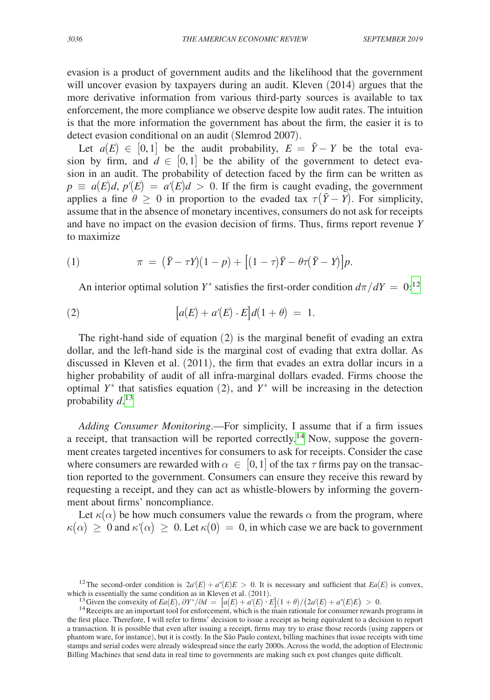evasion is a product of government audits and the likelihood that the government will uncover evasion by taxpayers during an audit. Kleven (2014) argues that the more derivative information from various third-party sources is available to tax enforcement, the more compliance we observe despite low audit rates. The intuition is that the more information the government has about the firm, the easier it is to detect evasion conditional on an audit (Slemrod 2007).

Let  $a(E) \in [0,1]$  be the audit probability,  $E = \overline{Y} - Y$  be the total evasion by firm, and  $d \in [0,1]$  be the ability of the government to detect evasion in an audit. The probability of detection faced by the firm can be written as  $p \equiv a(E)d$ ,  $p'(E) = a'(E)d > 0$ . If the firm is caught evading, the government applies a fine  $\theta \geq 0$  in proportion to the evaded tax  $\tau(\bar{Y} - Y)$ . For simplicity, assume that in the absence of monetary incentives, consumers do not ask for receipts and have no impact on the evasion decision of firms. Thus, firms report revenue *Y* to maximize

(1) 
$$
\pi = (\bar{Y} - \tau Y)(1 - p) + [(1 - \tau)\bar{Y} - \theta \tau (\bar{Y} - Y)]p.
$$

An interior optimal solution *Y*<sup>\*</sup> satisfies the first-order condition  $d\pi/dY = 0$ :<sup>[12](#page-5-0)</sup>

(2) 
$$
[a(E) + a'(E) \cdot E]d(1 + \theta) = 1.
$$

The right-hand side of equation (2) is the marginal benefit of evading an extra dollar, and the left-hand side is the marginal cost of evading that extra dollar. As discussed in Kleven et al. (2011), the firm that evades an extra dollar incurs in a higher probability of audit of all infra-marginal dollars evaded. Firms choose the optimal  $Y^*$  that satisfies equation (2), and  $Y^*$  will be increasing in the detection probability *d*. [13](#page-5-1)

*Adding Consumer Monitoring*.—For simplicity, I assume that if a firm issues a receipt, that transaction will be reported correctly[.14](#page-5-2) Now, suppose the government creates targeted incentives for consumers to ask for receipts. Consider the case where consumers are rewarded with  $\alpha \in [0,1]$  of the tax  $\tau$  firms pay on the transaction reported to the government. Consumers can ensure they receive this reward by requesting a receipt, and they can act as whistle-blowers by informing the government about firms' noncompliance.

Let  $\kappa(\alpha)$  be how much consumers value the rewards  $\alpha$  from the program, where  $\kappa(\alpha) \geq 0$  and  $\kappa'(\alpha) \geq 0$ . Let  $\kappa(0) = 0$ , in which case we are back to government

<sup>&</sup>lt;sup>12</sup>The second-order condition is  $2a'(E) + a''(E)E > 0$ . It is necessary and sufficient that  $Ea(E)$  is convex, which is essentially the same condition as in Kleven et al. (2011).

<span id="page-5-2"></span><span id="page-5-1"></span><span id="page-5-0"></span><sup>&</sup>lt;sup>13</sup> Given the convexity of  $Ea(E)$ ,  $\partial Y^*/\partial d = [a(E) + a'(E) \cdot E](1+\theta)/(2a'(E) + a''(E)E) > 0$ .

<sup>&</sup>lt;sup>14</sup> Receipts are an important tool for enforcement, which is the main rationale for consumer rewards programs in the first place. Therefore, I will refer to firms' decision to issue a receipt as being equivalent to a decision to report a transaction. It is possible that even after issuing a receipt, firms may try to erase those records (using zappers or phantom ware, for instance), but it is costly. In the São Paulo context, billing machines that issue receipts with time stamps and serial codes were already widespread since the early 2000s. Across the world, the adoption of Electronic Billing Machines that send data in real time to governments are making such ex post changes quite difficult.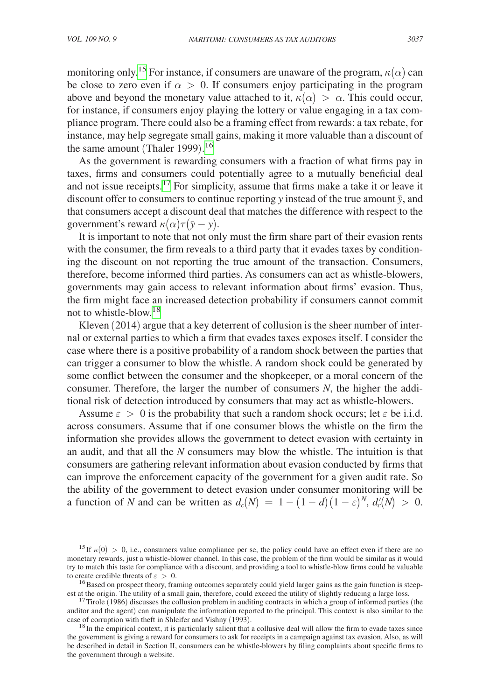monitoring only.<sup>15</sup> For instance, if consumers are unaware of the program,  $\kappa(\alpha)$  can be close to zero even if  $\alpha > 0$ . If consumers enjoy participating in the program above and beyond the monetary value attached to it,  $\kappa(\alpha) > \alpha$ . This could occur, for instance, if consumers enjoy playing the lottery or value engaging in a tax compliance program. There could also be a framing effect from rewards: a tax rebate, for instance, may help segregate small gains, making it more valuable than a discount of the same amount (Thaler 1999). [16](#page-6-1)

As the government is rewarding consumers with a fraction of what firms pay in taxes, firms and consumers could potentially agree to a mutually beneficial deal and not issue receipts.[17](#page-6-2) For simplicity, assume that firms make a take it or leave it discount offer to consumers to continue reporting  $y$  instead of the true amount  $\bar{y}$ , and that consumers accept a discount deal that matches the difference with respect to the government's reward  $\kappa(\alpha)\tau(\bar{y}-y)$ .

It is important to note that not only must the firm share part of their evasion rents with the consumer, the firm reveals to a third party that it evades taxes by conditioning the discount on not reporting the true amount of the transaction. Consumers, therefore, become informed third parties. As consumers can act as whistle-blowers, governments may gain access to relevant information about firms' evasion. Thus, the firm might face an increased detection probability if consumers cannot commit not to whistle-blow[.18](#page-6-3)

Kleven (2014) argue that a key deterrent of collusion is the sheer number of internal or external parties to which a firm that evades taxes exposes itself. I consider the case where there is a positive probability of a random shock between the parties that can trigger a consumer to blow the whistle. A random shock could be generated by some conflict between the consumer and the shopkeeper, or a moral concern of the consumer. Therefore, the larger the number of consumers *N*, the higher the additional risk of detection introduced by consumers that may act as whistle-blowers.

Assume  $\varepsilon > 0$  is the probability that such a random shock occurs; let  $\varepsilon$  be i.i.d. across consumers. Assume that if one consumer blows the whistle on the firm the information she provides allows the government to detect evasion with certainty in an audit, and that all the *N* consumers may blow the whistle. The intuition is that consumers are gathering relevant information about evasion conducted by firms that can improve the enforcement capacity of the government for a given audit rate. So the ability of the government to detect evasion under consumer monitoring will be a function of *N* and can be written as  $d_c(N) = 1 - (1 - d)(1 - \varepsilon)^N$ ,  $d_c'(N) > 0$ .

<span id="page-6-0"></span><sup>&</sup>lt;sup>15</sup>If  $\kappa(0) > 0$ , i.e., consumers value compliance per se, the policy could have an effect even if there are no monetary rewards, just a whistle-blower channel. In this case, the problem of the firm would be similar as it would try to match this taste for compliance with a discount, and providing a tool to whistle-blow firms could be valuable

<span id="page-6-1"></span>to create credible threats of  $\varepsilon > 0$ .<br><sup>16</sup>Based on prospect theory, framing outcomes separately could yield larger gains as the gain function is steep-<br>est at the origin. The utility of a small gain, therefore, could ex

<span id="page-6-2"></span><sup>&</sup>lt;sup>17</sup>Tirole  $(1986)$  discusses the collusion problem in auditing contracts in which a group of informed parties (the auditor and the agent) can manipulate the information reported to the principal. This context is also similar to the case of corruption with theft in Shleifer and Vishny (1993).

<span id="page-6-3"></span> $18$ In the empirical context, it is particularly salient that a collusive deal will allow the firm to evade taxes since the government is giving a reward for consumers to ask for receipts in a campaign against tax evasion. Also, as will be described in detail in Section II, consumers can be whistle-blowers by filing complaints about specific firms to the government through a website.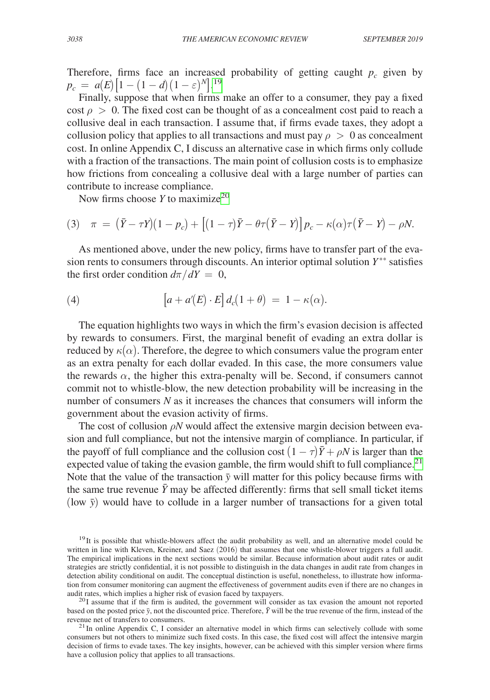Therefore, firms face an increased probability of getting caught  $p_c$  given by  $p_c = a(E) \left[ 1 - (1 - d) (1 - \varepsilon)^N \right]$ .<sup>[19](#page-7-0)</sup>

Finally, suppose that when firms make an offer to a consumer, they pay a fixed cost  $\rho > 0$ . The fixed cost can be thought of as a concealment cost paid to reach a collusive deal in each transaction. I assume that, if firms evade taxes, they adopt a collusion policy that applies to all transactions and must pay  $\rho > 0$  as concealment cost. In online Appendix C, I discuss an alternative case in which firms only collude with a fraction of the transactions. The main point of collusion costs is to emphasize how frictions from concealing a collusive deal with a large number of parties can contribute to increase compliance.

Now firms choose *Y* to maximiz[e20](#page-7-1)

(3) 
$$
\pi = (\bar{Y} - \tau Y)(1 - p_c) + [(1 - \tau)\bar{Y} - \theta \tau (\bar{Y} - Y)]p_c - \kappa(\alpha)\tau(\bar{Y} - Y) - \rho N.
$$

As mentioned above, under the new policy, firms have to transfer part of the evasion rents to consumers through discounts. An interior optimal solution  $Y^{**}$  satisfies the first order condition  $d\pi/dY = 0$ ,

(4) 
$$
\left[a + a'(E) \cdot E\right] d_c(1+\theta) = 1 - \kappa(\alpha).
$$

The equation highlights two ways in which the firm's evasion decision is affected by rewards to consumers. First, the marginal benefit of evading an extra dollar is reduced by  $\kappa(\alpha)$ . Therefore, the degree to which consumers value the program enter as an extra penalty for each dollar evaded. In this case, the more consumers value the rewards  $\alpha$ , the higher this extra-penalty will be. Second, if consumers cannot commit not to whistle-blow, the new detection probability will be increasing in the number of consumers *N* as it increases the chances that consumers will inform the government about the evasion activity of firms.

The cost of collusion  $\rho N$  would affect the extensive margin decision between evasion and full compliance, but not the intensive margin of compliance. In particular, if the payoff of full compliance and the collusion cost  $(1 - \tau)\bar{Y} + \rho N$  is larger than the expected value of taking the evasion gamble, the firm would shift to full compliance.<sup>21</sup> Note that the value of the transaction  $\bar{y}$  will matter for this policy because firms with the same true revenue  $\bar{Y}$  may be affected differently: firms that sell small ticket items (low  $\bar{y}$ ) would have to collude in a larger number of transactions for a given total

<span id="page-7-0"></span><sup>&</sup>lt;sup>19</sup>It is possible that whistle-blowers affect the audit probability as well, and an alternative model could be written in line with Kleven, Kreiner, and Saez (2016) that assumes that one whistle-blower triggers a full audit. The empirical implications in the next sections would be similar. Because information about audit rates or audit strategies are strictly confidential, it is not possible to distinguish in the data changes in audit rate from changes in detection ability conditional on audit. The conceptual distinction is useful, nonetheless, to illustrate how information from consumer monitoring can augment the effectiveness of government audits even if there are no changes in audit rates, which implies a higher risk of evasion faced by taxpayers.

<span id="page-7-1"></span> $^{20}$ I assume that if the firm is audited, the government will consider as tax evasion the amount not reported based on the posted price  $\bar{y}$ , not the discounted price. Therefore,  $\bar{Y}$  will be the true revenue of the firm, instead of the revenue net of transfers to consumers.

<span id="page-7-2"></span> $21$ In online Appendix C, I consider an alternative model in which firms can selectively collude with some consumers but not others to minimize such fixed costs. In this case, the fixed cost will affect the intensive margin decision of firms to evade taxes. The key insights, however, can be achieved with this simpler version where firms have a collusion policy that applies to all transactions.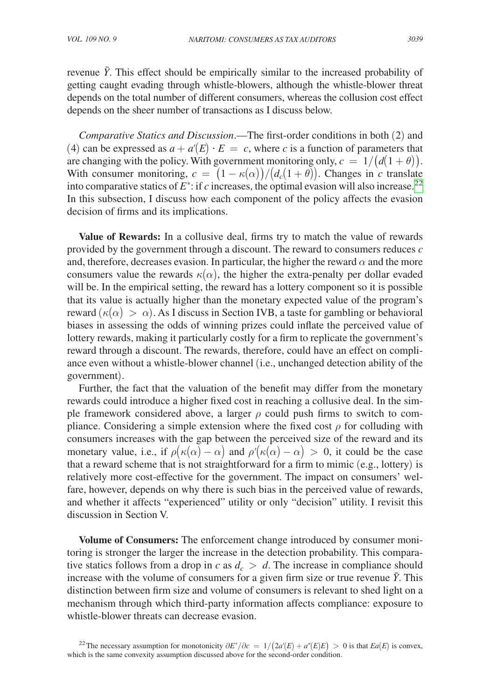revenue  $\bar{Y}$ . This effect should be empirically similar to the increased probability of getting caught evading through whistle-blowers, although the whistle-blower threat depends on the total number of different consumers, whereas the collusion cost effect depends on the sheer number of transactions as I discuss below.

*Comparative Statics and Discussion*.—The first-order conditions in both (2) and (4) can be expressed as  $a + a'(E) \cdot E = c$ , where *c* is a function of parameters that are changing with the policy. With government monitoring only,  $c = 1/(d(1 + \theta))$ . With consumer monitoring,  $c = (1 - \kappa(\alpha))/(d_c(1 + \theta))$ . Changes in *c* translate into comparative statics of  $E^*$ : if *c* increases, the optimal evasion will also increase.<sup>22</sup> In this subsection, I discuss how each component of the policy affects the evasion decision of firms and its implications.

**Value of Rewards:** In a collusive deal, firms try to match the value of rewards provided by the government through a discount. The reward to consumers reduces *c* and, therefore, decreases evasion. In particular, the higher the reward  $\alpha$  and the more consumers value the rewards  $\kappa(\alpha)$ , the higher the extra-penalty per dollar evaded will be. In the empirical setting, the reward has a lottery component so it is possible that its value is actually higher than the monetary expected value of the program's reward  $(\kappa(\alpha) > \alpha)$ . As I discuss in Section IVB, a taste for gambling or behavioral biases in assessing the odds of winning prizes could inflate the perceived value of lottery rewards, making it particularly costly for a firm to replicate the government's reward through a discount. The rewards, therefore, could have an effect on compliance even without a whistle-blower channel (i.e., unchanged detection ability of the government).

Further, the fact that the valuation of the benefit may differ from the monetary rewards could introduce a higher fixed cost in reaching a collusive deal. In the simple framework considered above, a larger  $\rho$  could push firms to switch to compliance. Considering a simple extension where the fixed cost  $\rho$  for colluding with consumers increases with the gap between the perceived size of the reward and its monetary value, i.e., if  $\rho(\kappa(\alpha) - \alpha)$  and  $\rho'(\kappa(\alpha) - \alpha) > 0$ , it could be the case that a reward scheme that is not straightforward for a firm to mimic (e.g., lottery) is relatively more cost-effective for the government. The impact on consumers' welfare, however, depends on why there is such bias in the perceived value of rewards, and whether it affects "experienced" utility or only "decision" utility. I revisit this discussion in Section V.

**Volume of Consumers:** The enforcement change introduced by consumer monitoring is stronger the larger the increase in the detection probability. This comparative statics follows from a drop in *c* as  $d_c > d$ . The increase in compliance should increase with the volume of consumers for a given firm size or true revenue  $\bar{Y}$ . This distinction between firm size and volume of consumers is relevant to shed light on a mechanism through which third-party information affects compliance: exposure to whistle-blower threats can decrease evasion.

<span id="page-8-0"></span><sup>22</sup>The necessary assumption for monotonicity  $\partial E^* / \partial c = 1/(2a'(E) + a''(E)E) > 0$  is that  $Ea(E)$  is convex, which is the same convexity assumption discussed above for the second-order condition.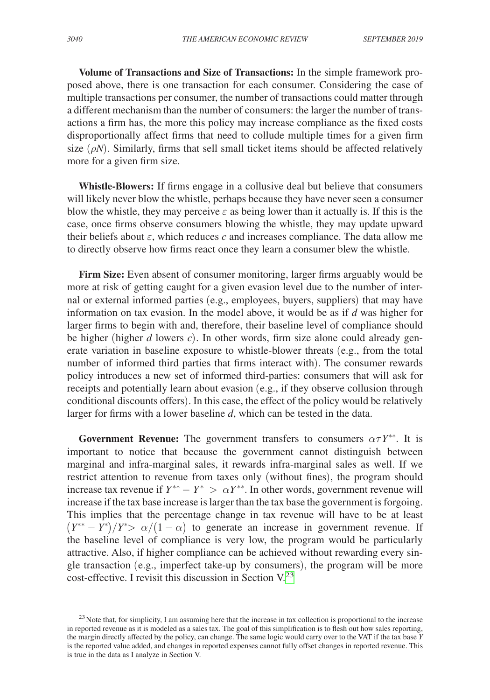**Volume of Transactions and Size of Transactions:** In the simple framework proposed above, there is one transaction for each consumer. Considering the case of multiple transactions per consumer, the number of transactions could matter through a different mechanism than the number of consumers: the larger the number of transactions a firm has, the more this policy may increase compliance as the fixed costs disproportionally affect firms that need to collude multiple times for a given firm size  $(\rho N)$ . Similarly, firms that sell small ticket items should be affected relatively more for a given firm size.

**Whistle-Blowers:** If firms engage in a collusive deal but believe that consumers will likely never blow the whistle, perhaps because they have never seen a consumer blow the whistle, they may perceive  $\varepsilon$  as being lower than it actually is. If this is the case, once firms observe consumers blowing the whistle, they may update upward their beliefs about  $\varepsilon$ , which reduces  $c$  and increases compliance. The data allow me to directly observe how firms react once they learn a consumer blew the whistle.

**Firm Size:** Even absent of consumer monitoring, larger firms arguably would be more at risk of getting caught for a given evasion level due to the number of internal or external informed parties (e.g., employees, buyers, suppliers) that may have information on tax evasion. In the model above, it would be as if *d* was higher for larger firms to begin with and, therefore, their baseline level of compliance should be higher (higher *d* lowers *c*). In other words, firm size alone could already generate variation in baseline exposure to whistle-blower threats (e.g., from the total number of informed third parties that firms interact with). The consumer rewards policy introduces a new set of informed third-parties: consumers that will ask for receipts and potentially learn about evasion (e.g., if they observe collusion through conditional discounts offers). In this case, the effect of the policy would be relatively larger for firms with a lower baseline *d*, which can be tested in the data.

**Government Revenue:** The government transfers to consumers  $\alpha \tau Y^{**}$ . It is important to notice that because the government cannot distinguish between marginal and infra-marginal sales, it rewards infra-marginal sales as well. If we restrict attention to revenue from taxes only (without fines), the program should increase tax revenue if  $Y^{**} - Y^* > \alpha Y^{**}$ . In other words, government revenue will increase if the tax base increase is larger than the tax base the government is forgoing. This implies that the percentage change in tax revenue will have to be at least  $(Y^{**} - Y^*)/Y^* > \alpha/(1 - \alpha)$  to generate an increase in government revenue. If the baseline level of compliance is very low, the program would be particularly attractive. Also, if higher compliance can be achieved without rewarding every single transaction (e.g., imperfect take-up by consumers), the program will be more cost-effective. I revisit this discussion in Section  $V^{23}$  $V^{23}$  $V^{23}$ .

<span id="page-9-0"></span><sup>&</sup>lt;sup>23</sup> Note that, for simplicity, I am assuming here that the increase in tax collection is proportional to the increase in reported revenue as it is modeled as a sales tax. The goal of this simplification is to flesh out how sales reporting, the margin directly affected by the policy, can change. The same logic would carry over to the VAT if the tax base *Y* is the reported value added, and changes in reported expenses cannot fully offset changes in reported revenue. This is true in the data as I analyze in Section V.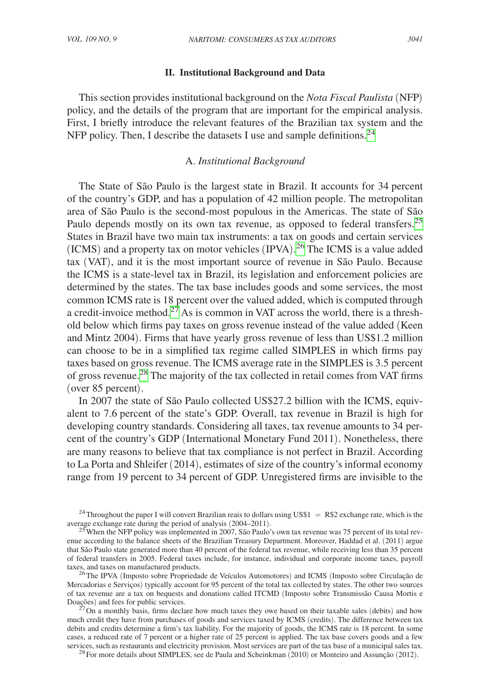## **II. Institutional Background and Data**

This section provides institutional background on the *Nota Fiscal Paulista* (NFP) policy, and the details of the program that are important for the empirical analysis. First, I briefly introduce the relevant features of the Brazilian tax system and the NFP policy. Then, I describe the datasets I use and sample definitions.<sup>24</sup>

#### A. *Institutional Background*

The State of São Paulo is the largest state in Brazil. It accounts for 34 percent of the country's GDP, and has a population of 42 million people. The metropolitan area of São Paulo is the second-most populous in the Americas. The state of São Paulo depends mostly on its own tax revenue, as opposed to federal transfers.<sup>25</sup> States in Brazil have two main tax instruments: a tax on goods and certain services (ICMS) and a property tax on motor vehicles (IPVA). [26](#page-10-2) The ICMS is a value added tax (VAT), and it is the most important source of revenue in São Paulo. Because the ICMS is a state-level tax in Brazil, its legislation and enforcement policies are determined by the states. The tax base includes goods and some services, the most common ICMS rate is 18 percent over the valued added, which is computed through a credit-invoice method.<sup>27</sup> As is common in VAT across the world, there is a threshold below which firms pay taxes on gross revenue instead of the value added (Keen and Mintz 2004). Firms that have yearly gross revenue of less than US\$1.2 million can choose to be in a simplified tax regime called SIMPLES in which firms pay taxes based on gross revenue. The ICMS average rate in the SIMPLES is 3.5 percent of gross revenue.[28](#page-10-4) The majority of the tax collected in retail comes from VAT firms (over 85 percent).

In 2007 the state of São Paulo collected US\$27.2 billion with the ICMS, equivalent to 7.6 percent of the state's GDP. Overall, tax revenue in Brazil is high for developing country standards. Considering all taxes, tax revenue amounts to 34 percent of the country's GDP (International Monetary Fund 2011). Nonetheless, there are many reasons to believe that tax compliance is not perfect in Brazil. According to La Porta and Shleifer (2014), estimates of size of the country's informal economy range from 19 percent to 34 percent of GDP. Unregistered firms are invisible to the

<span id="page-10-0"></span><sup>24</sup>Throughout the paper I will convert Brazilian reais to dollars using US\$1 = R\$2 exchange rate, which is the average exchange rate during the period of analysis (2004–2011).

<span id="page-10-1"></span><sup>&</sup>lt;sup>25</sup> When the NFP policy was implemented in 2007, São Paulo's own tax revenue was 75 percent of its total revenue according to the balance sheets of the Brazilian Treasury Department. Moreover, Haddad et al. (2011) argue that São Paulo state generated more than 40 percent of the federal tax revenue, while receiving less than 35 percent of federal transfers in 2005. Federal taxes include, for instance, individual and corporate income taxes, payroll taxes, and taxes on manufactured products.<br><sup>26</sup>The IPVA (Imposto sobre Propriedade de Veículos Automotores) and ICMS (Imposto sobre Circulação de

<span id="page-10-2"></span>Mercadorias e Serviços) typically account for 95 percent of the total tax collected by states. The other two sources of tax revenue are a tax on bequests and donations called ITCMD (Imposto sobre Transmissão Causa Mortis e

<span id="page-10-3"></span> $^{27}$ On a monthly basis, firms declare how much taxes they owe based on their taxable sales (debits) and how much credit they have from purchases of goods and services taxed by ICMS (credits). The difference between tax debits and credits determine a firm's tax liability. For the majority of goods, the ICMS rate is 18 percent. In some cases, a reduced rate of 7 percent or a higher rate of 25 percent is applied. The tax base covers goods and a few services, such as restaurants and electricity provision. Most services are part of the tax base of a municipal sales tax. <sup>28</sup>For more details about SIMPLES, see de Paula and Scheinkman (2010) or Monteiro and Assunção (201

<span id="page-10-4"></span>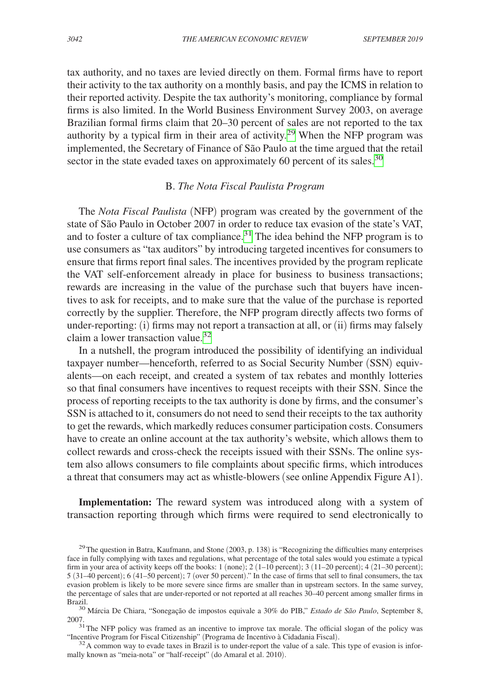tax authority, and no taxes are levied directly on them. Formal firms have to report their activity to the tax authority on a monthly basis, and pay the ICMS in relation to their reported activity. Despite the tax authority's monitoring, compliance by formal firms is also limited. In the World Business Environment Survey 2003, on average Brazilian formal firms claim that 20–30 percent of sales are not reported to the tax authority by a typical firm in their area of activity.<sup>29</sup> When the NFP program was implemented, the Secretary of Finance of São Paulo at the time argued that the retail sector in the state evaded taxes on approximately 60 percent of its sales.<sup>30</sup>

## B. *The Nota Fiscal Paulista Program*

The *Nota Fiscal Paulista* (NFP) program was created by the government of the state of São Paulo in October 2007 in order to reduce tax evasion of the state's VAT, and to foster a culture of tax compliance. $31$  The idea behind the NFP program is to use consumers as "tax auditors" by introducing targeted incentives for consumers to ensure that firms report final sales. The incentives provided by the program replicate the VAT self-enforcement already in place for business to business transactions; rewards are increasing in the value of the purchase such that buyers have incentives to ask for receipts, and to make sure that the value of the purchase is reported correctly by the supplier. Therefore, the NFP program directly affects two forms of under-reporting: (i) firms may not report a transaction at all, or (ii) firms may falsely claim a lower transaction value.<sup>[32](#page-11-3)</sup>

In a nutshell, the program introduced the possibility of identifying an individual taxpayer number—henceforth, referred to as Social Security Number (SSN) equivalents—on each receipt, and created a system of tax rebates and monthly lotteries so that final consumers have incentives to request receipts with their SSN. Since the process of reporting receipts to the tax authority is done by firms, and the consumer's SSN is attached to it, consumers do not need to send their receipts to the tax authority to get the rewards, which markedly reduces consumer participation costs. Consumers have to create an online account at the tax authority's website, which allows them to collect rewards and cross-check the receipts issued with their SSNs. The online system also allows consumers to file complaints about specific firms, which introduces a threat that consumers may act as whistle-blowers (see online Appendix Figure A1).

**Implementation:** The reward system was introduced along with a system of transaction reporting through which firms were required to send electronically to

<span id="page-11-3"></span> $32$  A common way to evade taxes in Brazil is to under-report the value of a sale. This type of evasion is informally known as "meia-nota" or "half-receipt" (do Amaral et al. 2010).

<span id="page-11-0"></span><sup>&</sup>lt;sup>29</sup>The question in Batra, Kaufmann, and Stone  $(2003, p. 138)$  is "Recognizing the difficulties many enterprises face in fully complying with taxes and regulations, what percentage of the total sales would you estimate a typical firm in your area of activity keeps off the books:  $1 \text{ (none)}$ ;  $2 \text{ (1–10 percent)}$ ;  $3 \text{ (11–20 percent)}$ ;  $4 \text{ (21–30 percent)}$ ; 5 (31–40 percent); 6 (41–50 percent); 7 (over 50 percent)." In the case of firms that sell to final consumers, the tax evasion problem is likely to be more severe since firms are smaller than in upstream sectors. In the same survey, the percentage of sales that are under-reported or not reported at all reaches 30–40 percent among smaller firms in Brazil.

<span id="page-11-1"></span><sup>&</sup>lt;sup>30</sup> Márcia De Chiara, "Sonegação de impostos equivale a 30% do PIB," *Estado de São Paulo*, September 8,

<span id="page-11-2"></span><sup>2007.&</sup>lt;br><sup>31</sup>The NFP policy was framed as an incentive to improve tax morale. The official slogan of the policy was "incentive Program for Fiscal Citizenship" (Programa de Incentivo à Cidadania Fiscal).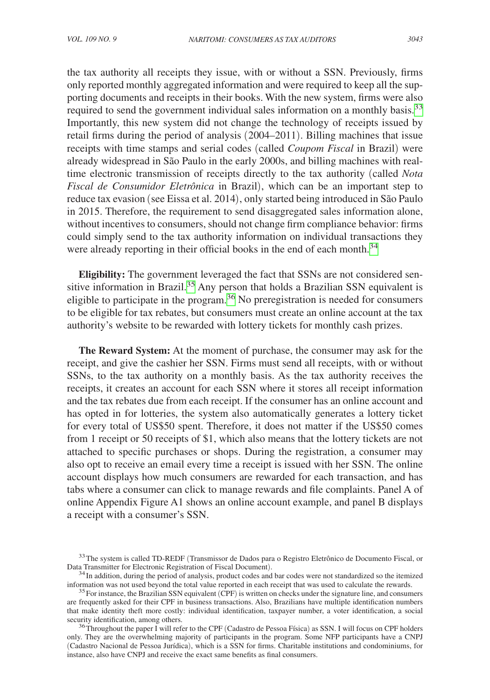the tax authority all receipts they issue, with or without a SSN. Previously, firms only reported monthly aggregated information and were required to keep all the supporting documents and receipts in their books. With the new system, firms were also required to send the government individual sales information on a monthly basis.<sup>33</sup> Importantly, this new system did not change the technology of receipts issued by retail firms during the period of analysis (2004–2011). Billing machines that issue receipts with time stamps and serial codes (called *Coupom Fiscal* in Brazil) were already widespread in São Paulo in the early 2000s, and billing machines with realtime electronic transmission of receipts directly to the tax authority (called *Nota Fiscal de Consumidor Eletrônica* in Brazil), which can be an important step to reduce tax evasion (see Eissa et al. 2014), only started being introduced in São Paulo in 2015. Therefore, the requirement to send disaggregated sales information alone, without incentives to consumers, should not change firm compliance behavior: firms could simply send to the tax authority information on individual transactions they were already reporting in their official books in the end of each month.<sup>[34](#page-12-1)</sup>

**Eligibility:** The government leveraged the fact that SSNs are not considered sensitive information in Brazil.<sup>35</sup> Any person that holds a Brazilian SSN equivalent is eligible to participate in the program.[36](#page-12-3) No preregistration is needed for consumers to be eligible for tax rebates, but consumers must create an online account at the tax authority's website to be rewarded with lottery tickets for monthly cash prizes.

**The Reward System:** At the moment of purchase, the consumer may ask for the receipt, and give the cashier her SSN. Firms must send all receipts, with or without SSNs, to the tax authority on a monthly basis. As the tax authority receives the receipts, it creates an account for each SSN where it stores all receipt information and the tax rebates due from each receipt. If the consumer has an online account and has opted in for lotteries, the system also automatically generates a lottery ticket for every total of US\$50 spent. Therefore, it does not matter if the US\$50 comes from 1 receipt or 50 receipts of \$1, which also means that the lottery tickets are not attached to specific purchases or shops. During the registration, a consumer may also opt to receive an email every time a receipt is issued with her SSN. The online account displays how much consumers are rewarded for each transaction, and has tabs where a consumer can click to manage rewards and file complaints. Panel A of online Appendix Figure A1 shows an online account example, and panel B displays a receipt with a consumer's SSN.

<span id="page-12-0"></span> $33$ The system is called TD-REDF (Transmissor de Dados para o Registro Eletrônico de Documento Fiscal, or Data Transmitter for Electronic Registration of Fiscal Document).

<span id="page-12-1"></span><sup>&</sup>lt;sup>34</sup> In addition, during the period of analysis, product codes and bar codes were not standardized so the itemized information was not used beyond the total value reported in each receipt that was used to calculate the rew

<span id="page-12-2"></span> $35$  For instance, the Brazilian SSN equivalent (CPF) is written on checks under the signature line, and consumers are frequently asked for their CPF in business transactions. Also, Brazilians have multiple identification numbers that make identity theft more costly: individual identification, taxpayer number, a voter identification, a social

<span id="page-12-3"></span>security identification, among others.<br><sup>36</sup>Throughout the paper I will refer to the CPF (Cadastro de Pessoa Física) as SSN. I will focus on CPF holders only. They are the overwhelming majority of participants in the program. Some NFP participants have a CNPJ (Cadastro Nacional de Pessoa Jurídica), which is a SSN for firms. Charitable institutions and condominiums, for instance, also have CNPJ and receive the exact same benefits as final consumers.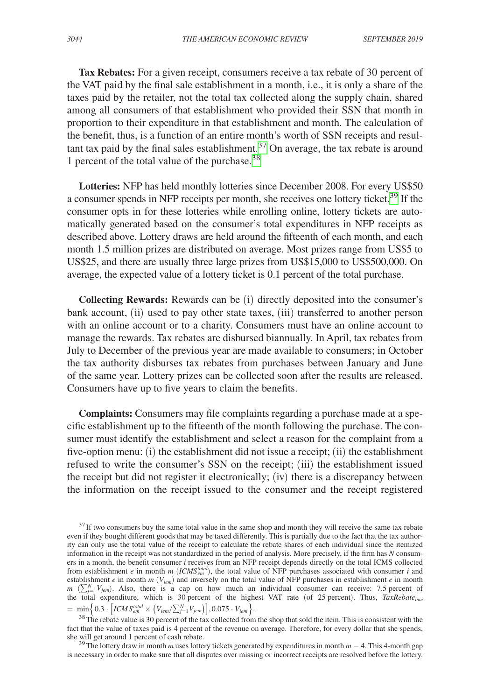**Tax Rebates:** For a given receipt, consumers receive a tax rebate of 30 percent of the VAT paid by the final sale establishment in a month, i.e., it is only a share of the taxes paid by the retailer, not the total tax collected along the supply chain, shared among all consumers of that establishment who provided their SSN that month in proportion to their expenditure in that establishment and month. The calculation of the benefit, thus, is a function of an entire month's worth of SSN receipts and resul-tant tax paid by the final sales establishment.<sup>[37](#page-13-0)</sup> On average, the tax rebate is around 1 percent of the total value of the purchase.[38](#page-13-1)

**Lotteries:** NFP has held monthly lotteries since December 2008. For every US\$50 a consumer spends in NFP receipts per month, she receives one lottery ticket.<sup>[39](#page-13-2)</sup> If the consumer opts in for these lotteries while enrolling online, lottery tickets are automatically generated based on the consumer's total expenditures in NFP receipts as described above. Lottery draws are held around the fifteenth of each month, and each month 1.5 million prizes are distributed on average. Most prizes range from US\$5 to US\$25, and there are usually three large prizes from US\$15,000 to US\$500,000. On average, the expected value of a lottery ticket is 0.1 percent of the total purchase.

**Collecting Rewards:** Rewards can be (i) directly deposited into the consumer's bank account, (ii) used to pay other state taxes, (iii) transferred to another person with an online account or to a charity. Consumers must have an online account to manage the rewards. Tax rebates are disbursed biannually. In April, tax rebates from July to December of the previous year are made available to consumers; in October the tax authority disburses tax rebates from purchases between January and June of the same year. Lottery prizes can be collected soon after the results are released. Consumers have up to five years to claim the benefits.

**Complaints:** Consumers may file complaints regarding a purchase made at a specific establishment up to the fifteenth of the month following the purchase. The consumer must identify the establishment and select a reason for the complaint from a five-option menu: (i) the establishment did not issue a receipt; (ii) the establishment refused to write the consumer's SSN on the receipt; (iii) the establishment issued the receipt but did not register it electronically; (iv) there is a discrepancy between the information on the receipt issued to the consumer and the receipt registered

<span id="page-13-2"></span><sup>39</sup>The lottery draw in month *m* uses lottery tickets generated by expenditures in month  $m - 4$ . This 4-month gap is necessary in order to make sure that all disputes over missing or incorrect receipts are resolved before the lottery.

<span id="page-13-0"></span><sup>&</sup>lt;sup>37</sup> If two consumers buy the same total value in the same shop and month they will receive the same tax rebate even if they bought different goods that may be taxed differently. This is partially due to the fact that the tax authority can only use the total value of the receipt to calculate the rebate shares of each individual since the itemized information in the receipt was not standardized in the period of analysis. More precisely, if the firm has *N* consumers in a month, the benefit consumer *i* receives from an NFP receipt depends directly on the total ICMS collected from establishment *e* in month *m* (*ICMS<sup>total</sup>*), the total value of NFP purchases associated with consumer *i* and establishment *e* in month *m* ( $V_{iem}$ ) and inversely on the total value of NFP purchases in establishment *e* in month *m* ( $\sum_{i=1}^{N} V_{jem}$ ). Also, there is a cap on how much an individual consumer can receive: 7.5 percent of the total expenditure, which is 30 percent of the highest VAT rate (of 25 percent). Thus, *TaxRebateime*  $= \min \Big\{ 0.3 \cdot \Big[ ICMS_{em}^{total} \times \Big( V_{iem} / \sum_{j=1}^{N} V_{jem} \Big) \Big], 0.075 \cdot V_{iem} \Big\}.$ 

<span id="page-13-1"></span><sup>&</sup>lt;sup>38</sup>The rebate value is 30 percent of the tax collected from the shop that sold the item. This is consistent with the fact that the value of taxes paid is 4 percent of the revenue on average. Therefore, for every dollar that she spends, she will get around 1 percent of cash rebate.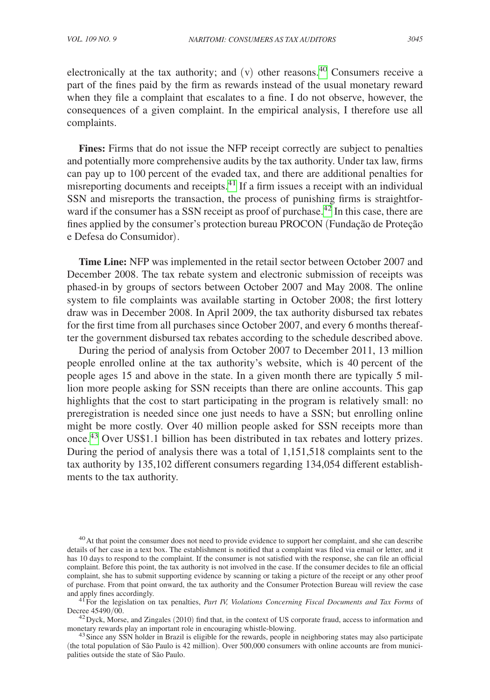electronically at the tax authority; and  $(v)$  other reasons.<sup>40</sup> Consumers receive a part of the fines paid by the firm as rewards instead of the usual monetary reward when they file a complaint that escalates to a fine. I do not observe, however, the consequences of a given complaint. In the empirical analysis, I therefore use all complaints.

**Fines:** Firms that do not issue the NFP receipt correctly are subject to penalties and potentially more comprehensive audits by the tax authority. Under tax law, firms can pay up to 100 percent of the evaded tax, and there are additional penalties for misreporting documents and receipts[.41](#page-14-1) If a firm issues a receipt with an individual SSN and misreports the transaction, the process of punishing firms is straightfor-ward if the consumer has a SSN receipt as proof of purchase.<sup>[42](#page-14-2)</sup> In this case, there are fines applied by the consumer's protection bureau PROCON (Fundação de Proteção e Defesa do Consumidor).

**Time Line:** NFP was implemented in the retail sector between October 2007 and December 2008. The tax rebate system and electronic submission of receipts was phased-in by groups of sectors between October 2007 and May 2008. The online system to file complaints was available starting in October 2008; the first lottery draw was in December 2008. In April 2009, the tax authority disbursed tax rebates for the first time from all purchases since October 2007, and every 6 months thereafter the government disbursed tax rebates according to the schedule described above.

During the period of analysis from October 2007 to December 2011, 13 million people enrolled online at the tax authority's website, which is 40 percent of the people ages 15 and above in the state. In a given month there are typically 5 million more people asking for SSN receipts than there are online accounts. This gap highlights that the cost to start participating in the program is relatively small: no preregistration is needed since one just needs to have a SSN; but enrolling online might be more costly. Over 40 million people asked for SSN receipts more than once.[43](#page-14-3) Over US\$1.1 billion has been distributed in tax rebates and lottery prizes. During the period of analysis there was a total of 1,151,518 complaints sent to the tax authority by 135,102 different consumers regarding 134,054 different establishments to the tax authority.

<span id="page-14-0"></span><sup>40</sup>At that point the consumer does not need to provide evidence to support her complaint, and she can describe details of her case in a text box. The establishment is notified that a complaint was filed via email or letter, and it has 10 days to respond to the complaint. If the consumer is not satisfied with the response, she can file an official complaint. Before this point, the tax authority is not involved in the case. If the consumer decides to file an official complaint, she has to submit supporting evidence by scanning or taking a picture of the receipt or any other proof of purchase. From that point onward, the tax authority and the Consumer Protection Bureau will review the case and apply fines accordingly.

<span id="page-14-1"></span>and apply fines according to the legislation on tax penalties, *Part IV, Violations Concerning Fiscal Documents and Tax Forms* of Decree 45490/00.

<span id="page-14-2"></span> $^{42}$  Dyck, Morse, and Zingales (2010) find that, in the context of US corporate fraud, access to information and monetary rewards play an important role in encouraging whistle-blowing.

<span id="page-14-3"></span> $43$  Since any SSN holder in Brazil is eligible for the rewards, people in neighboring states may also participate (the total population of São Paulo is 42 million). Over 500,000 consumers with online accounts are from municipalities outside the state of São Paulo.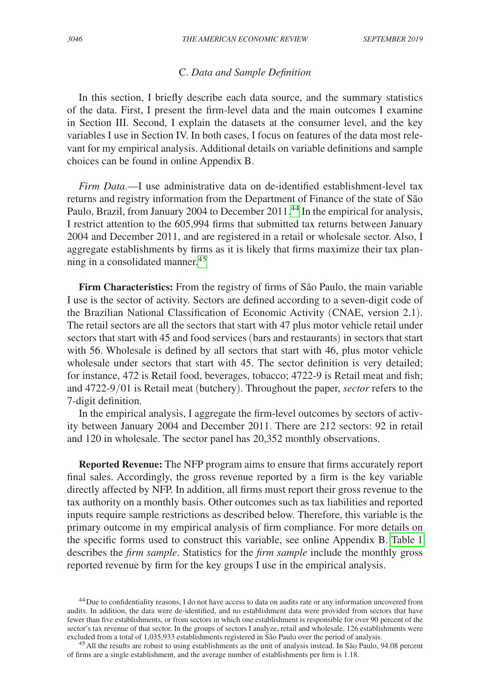## C. *Data and Sample Definition*

In this section, I briefly describe each data source, and the summary statistics of the data. First, I present the firm-level data and the main outcomes I examine in Section III. Second, I explain the datasets at the consumer level, and the key variables I use in Section IV. In both cases, I focus on features of the data most relevant for my empirical analysis. Additional details on variable definitions and sample choices can be found in online Appendix B.

*Firm Data*.—I use administrative data on de-identified establishment-level tax returns and registry information from the Department of Finance of the state of São Paulo, Brazil, from January 2004 to December 2011.<sup>44</sup> In the empirical for analysis, I restrict attention to the 605,994 firms that submitted tax returns between January 2004 and December 2011, and are registered in a retail or wholesale sector. Also, I aggregate establishments by firms as it is likely that firms maximize their tax plan-ning in a consolidated manner.<sup>[45](#page-15-1)</sup>

**Firm Characteristics:** From the registry of firms of São Paulo, the main variable I use is the sector of activity. Sectors are defined according to a seven-digit code of the Brazilian National Classification of Economic Activity (CNAE, version 2.1). The retail sectors are all the sectors that start with 47 plus motor vehicle retail under sectors that start with 45 and food services (bars and restaurants) in sectors that start with 56. Wholesale is defined by all sectors that start with 46, plus motor vehicle wholesale under sectors that start with 45. The sector definition is very detailed; for instance, 472 is Retail food, beverages, tobacco; 4722-9 is Retail meat and fish; and 4722-9/01 is Retail meat (butchery). Throughout the paper, *sector* refers to the 7-digit definition.

In the empirical analysis, I aggregate the firm-level outcomes by sectors of activity between January 2004 and December 2011. There are 212 sectors: 92 in retail and 120 in wholesale. The sector panel has 20,352 monthly observations.

**Reported Revenue:** The NFP program aims to ensure that firms accurately report final sales. Accordingly, the gross revenue reported by a firm is the key variable directly affected by NFP. In addition, all firms must report their gross revenue to the tax authority on a monthly basis. Other outcomes such as tax liabilities and reported inputs require sample restrictions as described below. Therefore, this variable is the primary outcome in my empirical analysis of firm compliance. For more details on the specific forms used to construct this variable, see online Appendix B. [Table](#page-16-0) 1 describes the *firm sample*. Statistics for the *firm sample* include the monthly gross reported revenue by firm for the key groups I use in the empirical analysis.

<span id="page-15-0"></span><sup>44</sup>Due to confidentiality reasons, I do not have access to data on audits rate or any information uncovered from audits. In addition, the data were de-identified, and no establishment data were provided from sectors that have fewer than five establishments, or from sectors in which one establishment is responsible for over 90 percent of the sector's tax revenue of that sector. In the groups of sectors I analyze, retail and wholesale, 126 establishments were excluded from a total of 1,035,933 establishments registered in São Paulo over the period of analysis.

<span id="page-15-1"></span> $^{45}$  All the results are robust to using establishments as the unit of analysis instead. In São Paulo, 94.08 percent of firms are a single establishment, and the average number of establishments per firm is 1.18.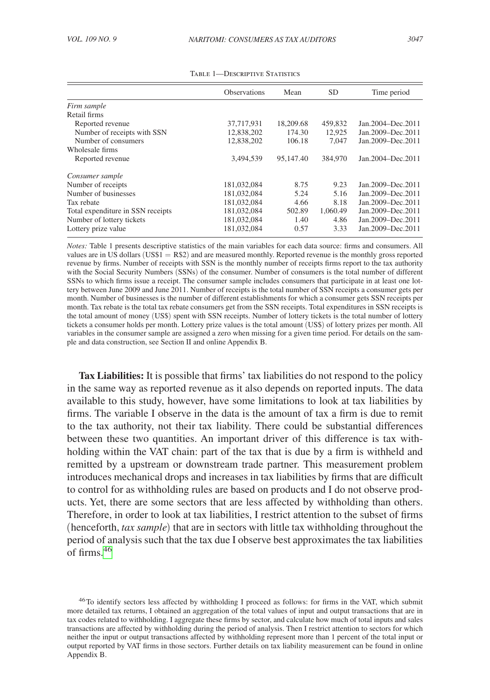<span id="page-16-0"></span>

|                                   | <b>Observations</b> | Mean      | <b>SD</b> | Time period         |  |
|-----------------------------------|---------------------|-----------|-----------|---------------------|--|
| Firm sample                       |                     |           |           |                     |  |
| Retail firms                      |                     |           |           |                     |  |
| Reported revenue                  | 37,717,931          | 18,209.68 | 459,832   | Jan. 2004–Dec. 2011 |  |
| Number of receipts with SSN       | 12,838,202          | 174.30    | 12.925    | Jan.2009-Dec.2011   |  |
| Number of consumers               | 12,838,202          | 106.18    | 7.047     | Jan.2009-Dec.2011   |  |
| Wholesale firms                   |                     |           |           |                     |  |
| Reported revenue                  | 3,494,539           | 95,147.40 | 384,970   | Jan. 2004–Dec. 2011 |  |
| Consumer sample                   |                     |           |           |                     |  |
| Number of receipts                | 181,032,084         | 8.75      | 9.23      | Jan.2009-Dec.2011   |  |
| Number of businesses              | 181,032,084         | 5.24      | 5.16      | Jan. 2009–Dec. 2011 |  |
| Tax rebate                        | 181,032,084         | 4.66      | 8.18      | Jan.2009-Dec.2011   |  |
| Total expenditure in SSN receipts | 181,032,084         | 502.89    | 1.060.49  | Jan. 2009–Dec. 2011 |  |
| Number of lottery tickets         | 181,032,084         | 1.40      | 4.86      | Jan.2009-Dec.2011   |  |
| Lottery prize value               | 181,032,084         | 0.57      | 3.33      | Jan.2009-Dec.2011   |  |

Table 1—Descriptive Statistics

*Notes:* Table 1 presents descriptive statistics of the main variables for each data source: firms and consumers. All values are in US dollars (US\$1 = R\$2) and are measured monthly. Reported revenue is the monthly gross reported revenue by firms. Number of receipts with SSN is the monthly number of receipts firms report to the tax authority with the Social Security Numbers (SSNs) of the consumer. Number of consumers is the total number of different SSNs to which firms issue a receipt. The consumer sample includes consumers that participate in at least one lottery between June 2009 and June 2011. Number of receipts is the total number of SSN receipts a consumer gets per month. Number of businesses is the number of different establishments for which a consumer gets SSN receipts per month. Tax rebate is the total tax rebate consumers get from the SSN receipts. Total expenditures in SSN receipts is the total amount of money (US\$) spent with SSN receipts. Number of lottery tickets is the total number of lottery tickets a consumer holds per month. Lottery prize values is the total amount (US\$) of lottery prizes per month. All variables in the consumer sample are assigned a zero when missing for a given time period. For details on the sample and data construction, see Section II and online Appendix B.

**Tax Liabilities:** It is possible that firms' tax liabilities do not respond to the policy in the same way as reported revenue as it also depends on reported inputs. The data available to this study, however, have some limitations to look at tax liabilities by firms. The variable I observe in the data is the amount of tax a firm is due to remit to the tax authority, not their tax liability. There could be substantial differences between these two quantities. An important driver of this difference is tax withholding within the VAT chain: part of the tax that is due by a firm is withheld and remitted by a upstream or downstream trade partner. This measurement problem introduces mechanical drops and increases in tax liabilities by firms that are difficult to control for as withholding rules are based on products and I do not observe products. Yet, there are some sectors that are less affected by withholding than others. Therefore, in order to look at tax liabilities, I restrict attention to the subset of firms (henceforth, *tax sample*) that are in sectors with little tax withholding throughout the period of analysis such that the tax due I observe best approximates the tax liabilities of firms.[46](#page-16-1)

<span id="page-16-1"></span><sup>46</sup>To identify sectors less affected by withholding I proceed as follows: for firms in the VAT, which submit more detailed tax returns, I obtained an aggregation of the total values of input and output transactions that are in tax codes related to withholding. I aggregate these firms by sector, and calculate how much of total inputs and sales transactions are affected by withholding during the period of analysis. Then I restrict attention to sectors for which neither the input or output transactions affected by withholding represent more than 1 percent of the total input or output reported by VAT firms in those sectors. Further details on tax liability measurement can be found in online Appendix B.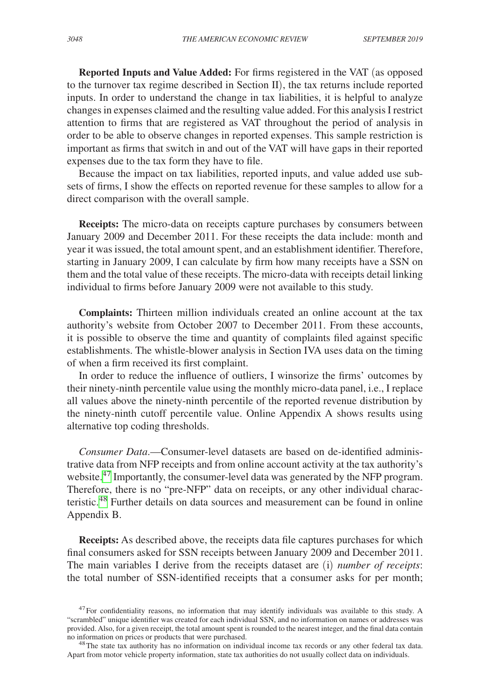**Reported Inputs and Value Added:** For firms registered in the VAT (as opposed to the turnover tax regime described in Section II), the tax returns include reported inputs. In order to understand the change in tax liabilities, it is helpful to analyze changes in expenses claimed and the resulting value added. For this analysis I restrict attention to firms that are registered as VAT throughout the period of analysis in order to be able to observe changes in reported expenses. This sample restriction is important as firms that switch in and out of the VAT will have gaps in their reported expenses due to the tax form they have to file.

Because the impact on tax liabilities, reported inputs, and value added use subsets of firms, I show the effects on reported revenue for these samples to allow for a direct comparison with the overall sample.

**Receipts:** The micro-data on receipts capture purchases by consumers between January 2009 and December 2011. For these receipts the data include: month and year it was issued, the total amount spent, and an establishment identifier. Therefore, starting in January 2009, I can calculate by firm how many receipts have a SSN on them and the total value of these receipts. The micro-data with receipts detail linking individual to firms before January 2009 were not available to this study.

**Complaints:** Thirteen million individuals created an online account at the tax authority's website from October 2007 to December 2011. From these accounts, it is possible to observe the time and quantity of complaints filed against specific establishments. The whistle-blower analysis in Section IVA uses data on the timing of when a firm received its first complaint.

In order to reduce the influence of outliers, I winsorize the firms' outcomes by their ninety-ninth percentile value using the monthly micro-data panel, i.e., I replace all values above the ninety-ninth percentile of the reported revenue distribution by the ninety-ninth cutoff percentile value. Online Appendix A shows results using alternative top coding thresholds.

*Consumer Data*.—Consumer-level datasets are based on de-identified administrative data from NFP receipts and from online account activity at the tax authority's website.<sup>47</sup> Importantly, the consumer-level data was generated by the NFP program. Therefore, there is no "pre-NFP" data on receipts, or any other individual characteristic.<sup>48</sup> Further details on data sources and measurement can be found in online Appendix B.

**Receipts:** As described above, the receipts data file captures purchases for which final consumers asked for SSN receipts between January 2009 and December 2011. The main variables I derive from the receipts dataset are (i) *number of receipts*: the total number of SSN-identified receipts that a consumer asks for per month;

<span id="page-17-0"></span> $47$  For confidentiality reasons, no information that may identify individuals was available to this study. A "scrambled" unique identifier was created for each individual SSN, and no information on names or addresses was provided. Also, for a given receipt, the total amount spent is rounded to the nearest integer, and the final data contain

<span id="page-17-1"></span><sup>&</sup>lt;sup>48</sup>The state tax authority has no information on individual income tax records or any other federal tax data. Apart from motor vehicle property information, state tax authorities do not usually collect data on individuals.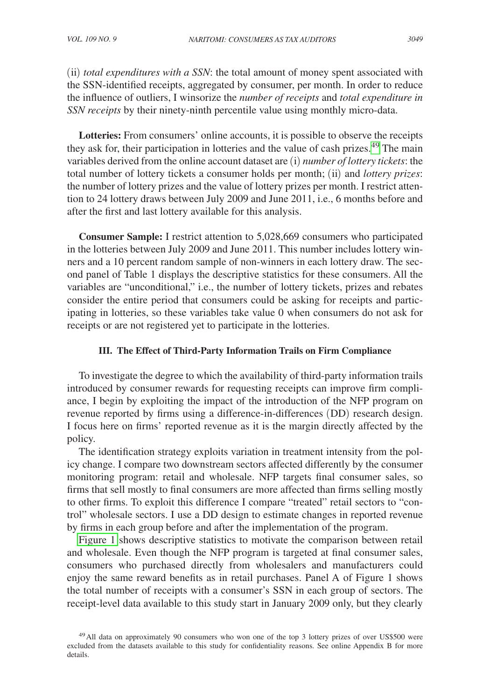(ii) *total expenditures with a SSN*: the total amount of money spent associated with the SSN-identified receipts, aggregated by consumer, per month. In order to reduce the influence of outliers, I winsorize the *number of receipts* and *total expenditure in SSN receipts* by their ninety-ninth percentile value using monthly micro-data.

**Lotteries:** From consumers' online accounts, it is possible to observe the receipts they ask for, their participation in lotteries and the value of cash prizes.<sup>[49](#page-18-0)</sup> The main variables derived from the online account dataset are (i) *number of lottery tickets*: the total number of lottery tickets a consumer holds per month; (ii) and *lottery prizes*: the number of lottery prizes and the value of lottery prizes per month. I restrict attention to 24 lottery draws between July 2009 and June 2011, i.e., 6 months before and after the first and last lottery available for this analysis.

**Consumer Sample:** I restrict attention to 5,028,669 consumers who participated in the lotteries between July 2009 and June 2011. This number includes lottery winners and a 10 percent random sample of non-winners in each lottery draw. The second panel of Table 1 displays the descriptive statistics for these consumers. All the variables are "unconditional," i.e., the number of lottery tickets, prizes and rebates consider the entire period that consumers could be asking for receipts and participating in lotteries, so these variables take value 0 when consumers do not ask for receipts or are not registered yet to participate in the lotteries.

## **III. The Effect of Third-Party Information Trails on Firm Compliance**

To investigate the degree to which the availability of third-party information trails introduced by consumer rewards for requesting receipts can improve firm compliance, I begin by exploiting the impact of the introduction of the NFP program on revenue reported by firms using a difference-in-differences (DD) research design. I focus here on firms' reported revenue as it is the margin directly affected by the policy.

The identification strategy exploits variation in treatment intensity from the policy change. I compare two downstream sectors affected differently by the consumer monitoring program: retail and wholesale. NFP targets final consumer sales, so firms that sell mostly to final consumers are more affected than firms selling mostly to other firms. To exploit this difference I compare "treated" retail sectors to "control" wholesale sectors. I use a DD design to estimate changes in reported revenue by firms in each group before and after the implementation of the program.

[Figure 1](#page-19-0) shows descriptive statistics to motivate the comparison between retail and wholesale. Even though the NFP program is targeted at final consumer sales, consumers who purchased directly from wholesalers and manufacturers could enjoy the same reward benefits as in retail purchases. Panel A of Figure 1 shows the total number of receipts with a consumer's SSN in each group of sectors. The receipt-level data available to this study start in January 2009 only, but they clearly

<span id="page-18-0"></span><sup>&</sup>lt;sup>49</sup>All data on approximately 90 consumers who won one of the top 3 lottery prizes of over US\$500 were excluded from the datasets available to this study for confidentiality reasons. See online Appendix B for more details.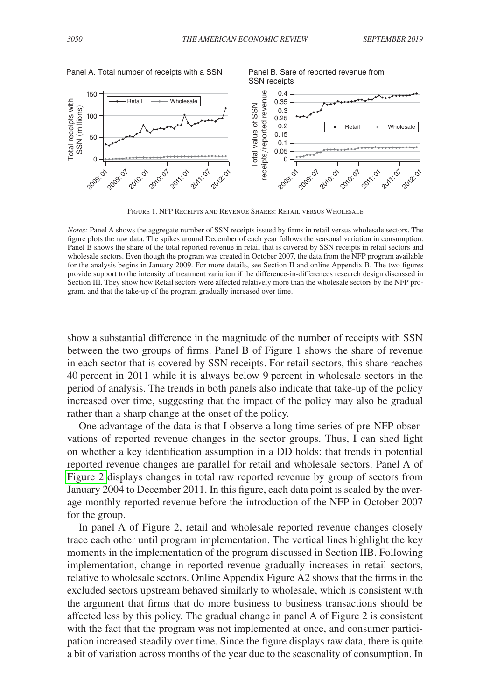<span id="page-19-0"></span>

Figure 1. NFP Receipts and Revenue Shares: Retail versus Wholesale

*Notes:* Panel A shows the aggregate number of SSN receipts issued by firms in retail versus wholesale sectors. The figure plots the raw data. The spikes around December of each year follows the seasonal variation in consumption. Panel B shows the share of the total reported revenue in retail that is covered by SSN receipts in retail sectors and wholesale sectors. Even though the program was created in October 2007, the data from the NFP program available for the analysis begins in January 2009. For more details, see Section II and online Appendix B. The two figures provide support to the intensity of treatment variation if the difference-in-differences research design discussed in Section III. They show how Retail sectors were affected relatively more than the wholesale sectors by the NFP program, and that the take-up of the program gradually increased over time.

show a substantial difference in the magnitude of the number of receipts with SSN between the two groups of firms. Panel B of Figure 1 shows the share of revenue in each sector that is covered by SSN receipts. For retail sectors, this share reaches 40 percent in 2011 while it is always below 9 percent in wholesale sectors in the period of analysis. The trends in both panels also indicate that take-up of the policy increased over time, suggesting that the impact of the policy may also be gradual rather than a sharp change at the onset of the policy.

One advantage of the data is that I observe a long time series of pre-NFP observations of reported revenue changes in the sector groups. Thus, I can shed light on whether a key identification assumption in a DD holds: that trends in potential reported revenue changes are parallel for retail and wholesale sectors. Panel A of [Figure 2](#page-20-0) displays changes in total raw reported revenue by group of sectors from January 2004 to December 2011. In this figure, each data point is scaled by the average monthly reported revenue before the introduction of the NFP in October 2007 for the group.

In panel A of Figure 2, retail and wholesale reported revenue changes closely trace each other until program implementation. The vertical lines highlight the key moments in the implementation of the program discussed in Section IIB. Following implementation, change in reported revenue gradually increases in retail sectors, relative to wholesale sectors. Online Appendix Figure A2 shows that the firms in the excluded sectors upstream behaved similarly to wholesale, which is consistent with the argument that firms that do more business to business transactions should be affected less by this policy. The gradual change in panel A of Figure 2 is consistent with the fact that the program was not implemented at once, and consumer participation increased steadily over time. Since the figure displays raw data, there is quite a bit of variation across months of the year due to the seasonality of consumption. In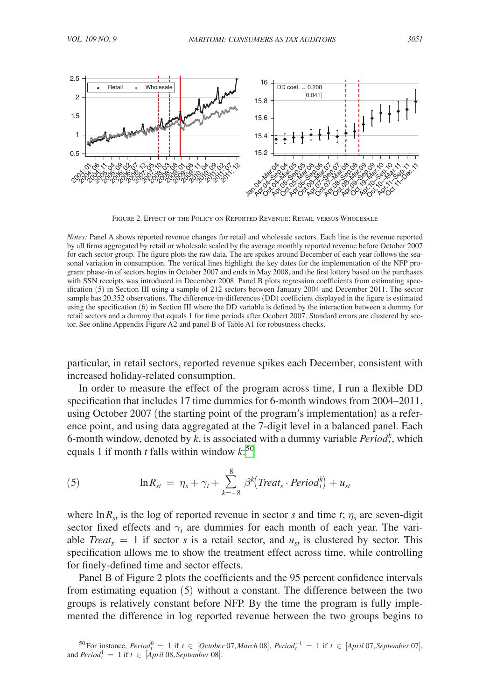<span id="page-20-0"></span>

Figure 2. Effect of the Policy on Reported Revenue: Retail versus Wholesale

*Notes:* Panel A shows reported revenue changes for retail and wholesale sectors. Each line is the revenue reported by all firms aggregated by retail or wholesale scaled by the average monthly reported revenue before October 2007 for each sector group. The figure plots the raw data. The are spikes around December of each year follows the seasonal variation in consumption. The vertical lines highlight the key dates for the implementation of the NFP program: phase-in of sectors begins in October 2007 and ends in May 2008, and the first lottery based on the purchases with SSN receipts was introduced in December 2008. Panel B plots regression coefficients from estimating specification (5) in Section III using a sample of 212 sectors between January 2004 and December 2011. The sector sample has 20,352 observations. The difference-in-differences (DD) coefficient displayed in the figure is estimated using the specification (6) in Section III where the DD variable is defined by the interaction between a dummy for retail sectors and a dummy that equals 1 for time periods after Ocobert 2007. Standard errors are clustered by sector. See online Appendix Figure A2 and panel B of Table A1 for robustness checks.

particular, in retail sectors, reported revenue spikes each December, consistent with increased holiday-related consumption.

In order to measure the effect of the program across time, I run a flexible DD specification that includes 17 time dummies for 6-month windows from 2004–2011, using October 2007 (the starting point of the program's implementation) as a reference point, and using data aggregated at the 7-digit level in a balanced panel. Each 6-month window, denoted by  $k$ , is associated with a dummy variable  $Period_t^k$ , which equals 1 if month *t* falls within window *k*: [50](#page-20-1)

(5) 
$$
\ln R_{st} = \eta_s + \gamma_t + \sum_{k=-8}^{8} \beta^k (Treat_s \cdot Period_t^k) + u_{st}
$$

where  $\ln R_{st}$  is the log of reported revenue in sector *s* and time *t*;  $\eta_s$  are seven-digit sector fixed effects and  $\gamma_t$  are dummies for each month of each year. The variable *Treat<sub>s</sub>* = 1 if sector *s* is a retail sector, and  $u_{st}$  is clustered by sector. This specification allows me to show the treatment effect across time, while controlling for finely-defined time and sector effects.

Panel B of Figure 2 plots the coefficients and the 95 percent confidence intervals from estimating equation (5) without a constant. The difference between the two groups is relatively constant before NFP. By the time the program is fully implemented the difference in log reported revenue between the two groups begins to

<span id="page-20-1"></span><sup>&</sup>lt;sup>50</sup>For instance, *Period*<sup>0</sup><sub>t</sub> = 1 if *t* ∈ [*October* 07, *March* 08], *Period*<sub> $1$ </sub><sup>-1</sup> = 1 if *t* ∈ [*April* 07, *September* 07], and  $Period_t^1 = 1$  if  $t \in [April\ 08, September\ 08].$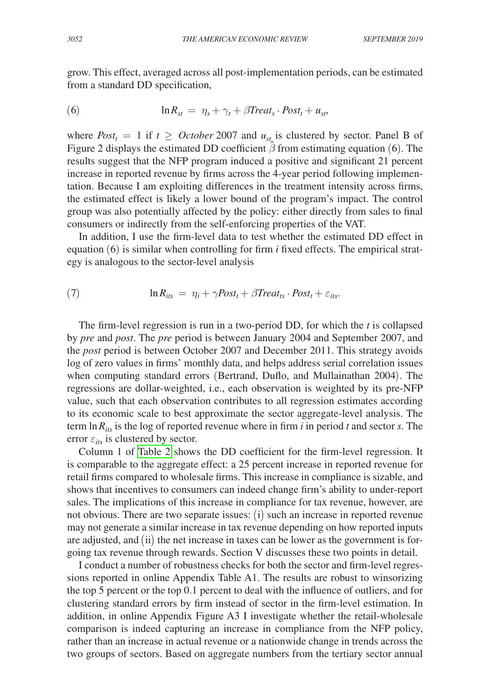grow. This effect, averaged across all post-implementation periods, can be estimated from a standard DD specification,

(6) 
$$
\ln R_{st} = \eta_s + \gamma_t + \beta Treat_s \cdot Post_t + u_{st},
$$

where  $Post_t = 1$  if  $t \geq October 2007$  and  $u_{st}$  is clustered by sector. Panel B of Figure 2 displays the estimated DD coefficient  $\hat{\beta}$  from estimating equation (6). The results suggest that the NFP program induced a positive and significant 21 percent increase in reported revenue by firms across the 4-year period following implementation. Because I am exploiting differences in the treatment intensity across firms, the estimated effect is likely a lower bound of the program's impact. The control group was also potentially affected by the policy: either directly from sales to final consumers or indirectly from the self-enforcing properties of the VAT.

In addition, I use the firm-level data to test whether the estimated DD effect in equation (6) is similar when controlling for firm *i* fixed effects. The empirical strategy is analogous to the sector-level analysis

(7) 
$$
\ln R_{its} = \eta_i + \gamma Post_t + \beta Treat_{ts} \cdot Post_t + \varepsilon_{its}.
$$

The firm-level regression is run in a two-period DD, for which the *t* is collapsed by *pre* and *post*. The *pre* period is between January 2004 and September 2007, and the *post* period is between October 2007 and December 2011. This strategy avoids log of zero values in firms' monthly data, and helps address serial correlation issues when computing standard errors (Bertrand, Duflo, and Mullainathan 2004). The regressions are dollar-weighted, i.e., each observation is weighted by its pre-NFP value, such that each observation contributes to all regression estimates according to its economic scale to best approximate the sector aggregate-level analysis. The term ln *Rits* is the log of reported revenue where in firm *i* in period *t* and sector *s*. The error  $\varepsilon_{its}$  is clustered by sector.

Column 1 of [Table 2](#page-22-0) shows the DD coefficient for the firm-level regression. It is comparable to the aggregate effect: a 25 percent increase in reported revenue for retail firms compared to wholesale firms. This increase in compliance is sizable, and shows that incentives to consumers can indeed change firm's ability to under-report sales. The implications of this increase in compliance for tax revenue, however, are not obvious. There are two separate issues: (i) such an increase in reported revenue may not generate a similar increase in tax revenue depending on how reported inputs are adjusted, and (ii) the net increase in taxes can be lower as the government is forgoing tax revenue through rewards. Section V discusses these two points in detail.

I conduct a number of robustness checks for both the sector and firm-level regressions reported in online Appendix Table A1. The results are robust to winsorizing the top 5 percent or the top 0.1 percent to deal with the influence of outliers, and for clustering standard errors by firm instead of sector in the firm-level estimation. In addition, in online Appendix Figure A3 I investigate whether the retail-wholesale comparison is indeed capturing an increase in compliance from the NFP policy, rather than an increase in actual revenue or a nationwide change in trends across the two groups of sectors. Based on aggregate numbers from the tertiary sector annual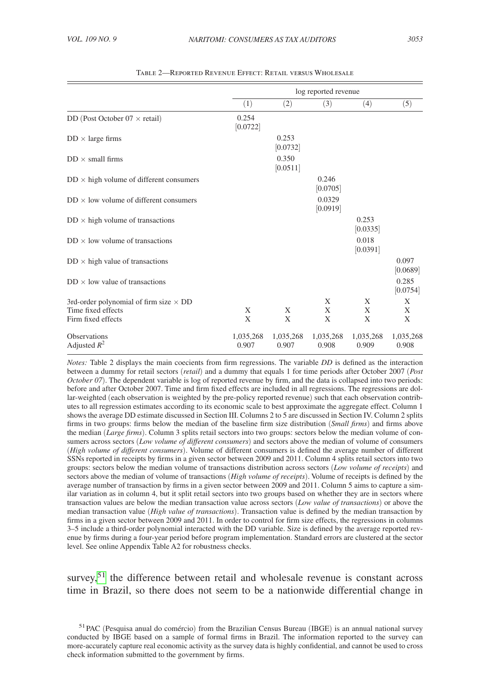<span id="page-22-0"></span>

|                                                                                           |                    | log reported revenue |                    |                    |                    |  |  |
|-------------------------------------------------------------------------------------------|--------------------|----------------------|--------------------|--------------------|--------------------|--|--|
|                                                                                           | (1)                | (2)                  | (3)                | (4)                | (5)                |  |  |
| DD (Post October $07 \times$ retail)                                                      | 0.254<br>[0.0722]  |                      |                    |                    |                    |  |  |
| $DD \times \text{large firms}$                                                            |                    | 0.253<br>[0.0732]    |                    |                    |                    |  |  |
| $DD \times$ small firms                                                                   |                    | 0.350<br>[0.0511]    |                    |                    |                    |  |  |
| $DD \times$ high volume of different consumers                                            |                    |                      | 0.246<br>[0.0705]  |                    |                    |  |  |
| $DD \times$ low volume of different consumers                                             |                    |                      | 0.0329<br>[0.0919] |                    |                    |  |  |
| $DD \times$ high volume of transactions                                                   |                    |                      |                    | 0.253<br>[0.0335]  |                    |  |  |
| $DD \times$ low volume of transactions                                                    |                    |                      |                    | 0.018<br>[0.0391]  |                    |  |  |
| $DD \times$ high value of transactions                                                    |                    |                      |                    |                    | 0.097<br>[0.0689]  |  |  |
| $DD \times$ low value of transactions                                                     |                    |                      |                    |                    | 0.285<br>[0.0754]  |  |  |
| 3rd-order polynomial of firm size $\times$ DD<br>Time fixed effects<br>Firm fixed effects | X<br>X             | X<br>X               | X<br>X<br>X        | X<br>X<br>X        | X<br>X<br>X        |  |  |
| Observations<br>Adjusted $R^2$                                                            | 1,035,268<br>0.907 | 1,035,268<br>0.907   | 1,035,268<br>0.908 | 1,035,268<br>0.909 | 1,035,268<br>0.908 |  |  |

Table 2—Reported Revenue Effect: Retail versus Wholesale

*Notes:* Table 2 displays the main coecients from firm regressions. The variable *DD* is defined as the interaction between a dummy for retail sectors (*retail*) and a dummy that equals 1 for time periods after October 2007 (*Post October 07*). The dependent variable is log of reported revenue by firm, and the data is collapsed into two periods: before and after October 2007. Time and firm fixed effects are included in all regressions. The regressions are dollar-weighted (each observation is weighted by the pre-policy reported revenue) such that each observation contributes to all regression estimates according to its economic scale to best approximate the aggregate effect. Column 1 shows the average DD estimate discussed in Section III. Columns 2 to 5 are discussed in Section IV. Column 2 splits firms in two groups: firms below the median of the baseline firm size distribution (*Small firms*) and firms above the median (*Large firms*). Column 3 splits retail sectors into two groups: sectors below the median volume of consumers across sectors (*Low volume of different consumers*) and sectors above the median of volume of consumers (*High volume of different consumers*). Volume of different consumers is defined the average number of different SSNs reported in receipts by firms in a given sector between 2009 and 2011. Column 4 splits retail sectors into two groups: sectors below the median volume of transactions distribution across sectors (*Low volume of receipts*) and sectors above the median of volume of transactions (*High volume of receipts*). Volume of receipts is defined by the average number of transaction by firms in a given sector between 2009 and 2011. Column 5 aims to capture a similar variation as in column 4, but it split retail sectors into two groups based on whether they are in sectors where transaction values are below the median transaction value across sectors (*Low value of transactions*) or above the median transaction value (*High value of transactions*). Transaction value is defined by the median transaction by firms in a given sector between 2009 and 2011. In order to control for firm size effects, the regressions in columns 3–5 include a third-order polynomial interacted with the DD variable. Size is defined by the average reported revenue by firms during a four-year period before program implementation. Standard errors are clustered at the sector level. See online Appendix Table A2 for robustness checks.

survey,  $51$  the difference between retail and wholesale revenue is constant across time in Brazil, so there does not seem to be a nationwide differential change in

<span id="page-22-1"></span><sup>51</sup>PAC (Pesquisa anual do comércio) from the Brazilian Census Bureau (IBGE) is an annual national survey conducted by IBGE based on a sample of formal firms in Brazil. The information reported to the survey can more-accurately capture real economic activity as the survey data is highly confidential, and cannot be used to cross check information submitted to the government by firms.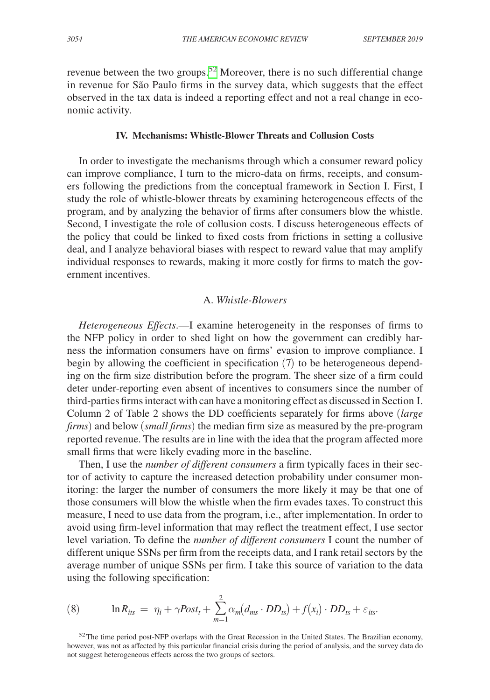revenue between the two groups.<sup>[52](#page-23-0)</sup> Moreover, there is no such differential change in revenue for São Paulo firms in the survey data, which suggests that the effect observed in the tax data is indeed a reporting effect and not a real change in economic activity.

## **IV. Mechanisms: Whistle-Blower Threats and Collusion Costs**

In order to investigate the mechanisms through which a consumer reward policy can improve compliance, I turn to the micro-data on firms, receipts, and consumers following the predictions from the conceptual framework in Section I. First, I study the role of whistle-blower threats by examining heterogeneous effects of the program, and by analyzing the behavior of firms after consumers blow the whistle. Second, I investigate the role of collusion costs. I discuss heterogeneous effects of the policy that could be linked to fixed costs from frictions in setting a collusive deal, and I analyze behavioral biases with respect to reward value that may amplify individual responses to rewards, making it more costly for firms to match the government incentives.

## A. *Whistle-Blowers*

*Heterogeneous Effects*.—I examine heterogeneity in the responses of firms to the NFP policy in order to shed light on how the government can credibly harness the information consumers have on firms' evasion to improve compliance. I begin by allowing the coefficient in specification (7) to be heterogeneous depending on the firm size distribution before the program. The sheer size of a firm could deter under-reporting even absent of incentives to consumers since the number of third-parties firms interact with can have a monitoring effect as discussed in Section I. Column 2 of Table 2 shows the DD coefficients separately for firms above (*large firms*) and below (*small firms*) the median firm size as measured by the pre-program reported revenue. The results are in line with the idea that the program affected more small firms that were likely evading more in the baseline.

Then, I use the *number of different consumers* a firm typically faces in their sector of activity to capture the increased detection probability under consumer monitoring: the larger the number of consumers the more likely it may be that one of those consumers will blow the whistle when the firm evades taxes. To construct this measure, I need to use data from the program, i.e., after implementation. In order to avoid using firm-level information that may reflect the treatment effect, I use sector level variation. To define the *number of different consumers* I count the number of different unique SSNs per firm from the receipts data, and I rank retail sectors by the average number of unique SSNs per firm. I take this source of variation to the data using the following specification:

(8) 
$$
\ln R_{lis} = \eta_i + \gamma Post_t + \sum_{m=1}^{2} \alpha_m (d_{ms} \cdot DD_{ts}) + f(x_i) \cdot DD_{ts} + \varepsilon_{its}.
$$

<span id="page-23-0"></span> $52$  The time period post-NFP overlaps with the Great Recession in the United States. The Brazilian economy, however, was not as affected by this particular financial crisis during the period of analysis, and the survey data do not suggest heterogeneous effects across the two groups of sectors.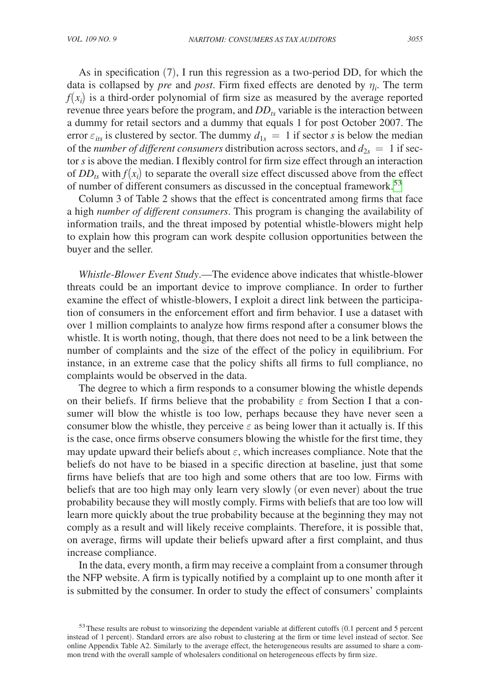As in specification (7), I run this regression as a two-period DD, for which the data is collapsed by *pre* and *post*. Firm fixed effects are denoted by η*<sup>i</sup>* . The term  $f(x_i)$  is a third-order polynomial of firm size as measured by the average reported revenue three years before the program, and  $DD_{ts}$  variable is the interaction between a dummy for retail sectors and a dummy that equals 1 for post October 2007. The error  $\varepsilon_{its}$  is clustered by sector. The dummy  $d_{1s} = 1$  if sector *s* is below the median of the *number of different consumers* distribution across sectors, and  $d_{2s} = 1$  if sector *s* is above the median. I flexibly control for firm size effect through an interaction of  $DD_{ts}$  with  $f(x_i)$  to separate the overall size effect discussed above from the effect of number of different consumers as discussed in the conceptual framework.<sup>[53](#page-24-0)</sup>

Column 3 of Table 2 shows that the effect is concentrated among firms that face a high *number of different consumers*. This program is changing the availability of information trails, and the threat imposed by potential whistle-blowers might help to explain how this program can work despite collusion opportunities between the buyer and the seller.

*Whistle-Blower Event Study*.—The evidence above indicates that whistle-blower threats could be an important device to improve compliance. In order to further examine the effect of whistle-blowers, I exploit a direct link between the participation of consumers in the enforcement effort and firm behavior. I use a dataset with over 1 million complaints to analyze how firms respond after a consumer blows the whistle. It is worth noting, though, that there does not need to be a link between the number of complaints and the size of the effect of the policy in equilibrium. For instance, in an extreme case that the policy shifts all firms to full compliance, no complaints would be observed in the data.

The degree to which a firm responds to a consumer blowing the whistle depends on their beliefs. If firms believe that the probability  $\varepsilon$  from Section I that a consumer will blow the whistle is too low, perhaps because they have never seen a consumer blow the whistle, they perceive  $\varepsilon$  as being lower than it actually is. If this is the case, once firms observe consumers blowing the whistle for the first time, they may update upward their beliefs about  $\varepsilon$ , which increases compliance. Note that the beliefs do not have to be biased in a specific direction at baseline, just that some firms have beliefs that are too high and some others that are too low. Firms with beliefs that are too high may only learn very slowly (or even never) about the true probability because they will mostly comply. Firms with beliefs that are too low will learn more quickly about the true probability because at the beginning they may not comply as a result and will likely receive complaints. Therefore, it is possible that, on average, firms will update their beliefs upward after a first complaint, and thus increase compliance.

In the data, every month, a firm may receive a complaint from a consumer through the NFP website. A firm is typically notified by a complaint up to one month after it is submitted by the consumer. In order to study the effect of consumers' complaints

<span id="page-24-0"></span><sup>&</sup>lt;sup>53</sup>These results are robust to winsorizing the dependent variable at different cutoffs (0.1 percent and 5 percent instead of 1 percent). Standard errors are also robust to clustering at the firm or time level instead of sector. See online Appendix Table A2. Similarly to the average effect, the heterogeneous results are assumed to share a common trend with the overall sample of wholesalers conditional on heterogeneous effects by firm size.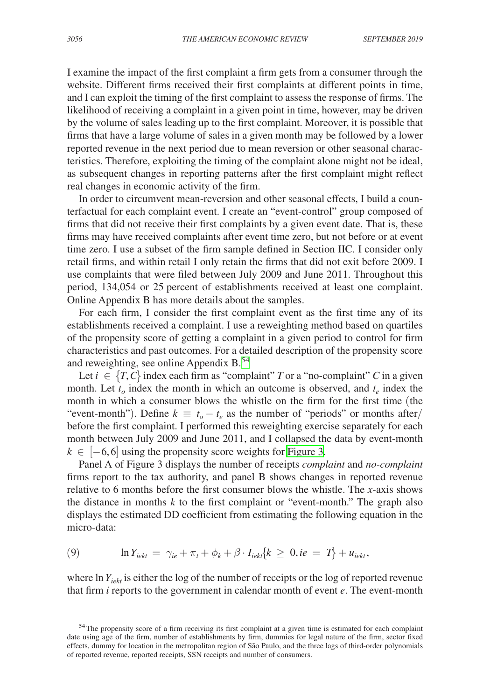I examine the impact of the first complaint a firm gets from a consumer through the website. Different firms received their first complaints at different points in time, and I can exploit the timing of the first complaint to assess the response of firms. The likelihood of receiving a complaint in a given point in time, however, may be driven by the volume of sales leading up to the first complaint. Moreover, it is possible that firms that have a large volume of sales in a given month may be followed by a lower reported revenue in the next period due to mean reversion or other seasonal characteristics. Therefore, exploiting the timing of the complaint alone might not be ideal, as subsequent changes in reporting patterns after the first complaint might reflect real changes in economic activity of the firm.

In order to circumvent mean-reversion and other seasonal effects, I build a counterfactual for each complaint event. I create an "event-control" group composed of firms that did not receive their first complaints by a given event date. That is, these firms may have received complaints after event time zero, but not before or at event time zero. I use a subset of the firm sample defined in Section IIC. I consider only retail firms, and within retail I only retain the firms that did not exit before 2009. I use complaints that were filed between July 2009 and June 2011. Throughout this period, 134,054 or 25 percent of establishments received at least one complaint. Online Appendix B has more details about the samples.

For each firm, I consider the first complaint event as the first time any of its establishments received a complaint. I use a reweighting method based on quartiles of the propensity score of getting a complaint in a given period to control for firm characteristics and past outcomes. For a detailed description of the propensity score and reweighting, see online Appendix B[.54](#page-25-0)

Let  $i \in \{T, C\}$  index each firm as "complaint" *T* or a "no-complaint" *C* in a given month. Let  $t_o$  index the month in which an outcome is observed, and  $t_e$  index the month in which a consumer blows the whistle on the firm for the first time (the "event-month"). Define  $k \equiv t_o - t_e$  as the number of "periods" or months after/ before the first complaint. I performed this reweighting exercise separately for each month between July 2009 and June 2011, and I collapsed the data by event-month  $k \in [-6, 6]$  using the propensity score weights for [Figure 3.](#page-26-0)

Panel A of Figure 3 displays the number of receipts *complaint* and *no-complaint* firms report to the tax authority, and panel B shows changes in reported revenue relative to 6 months before the first consumer blows the whistle. The *x*-axis shows the distance in months *k* to the first complaint or "event-month." The graph also displays the estimated DD coefficient from estimating the following equation in the micro-data:

(9) 
$$
\ln Y_{iekt} = \gamma_{ie} + \pi_t + \phi_k + \beta \cdot I_{iekt} \{k \geq 0, ie = T\} + u_{iekt},
$$

where ln  $Y_{i}$ <sub>iekt</sub> is either the log of the number of receipts or the log of reported revenue that firm *i* reports to the government in calendar month of event *e*. The event-month

<span id="page-25-0"></span><sup>&</sup>lt;sup>54</sup>The propensity score of a firm receiving its first complaint at a given time is estimated for each complaint date using age of the firm, number of establishments by firm, dummies for legal nature of the firm, sector fixed effects, dummy for location in the metropolitan region of São Paulo, and the three lags of third-order polynomials of reported revenue, reported receipts, SSN receipts and number of consumers.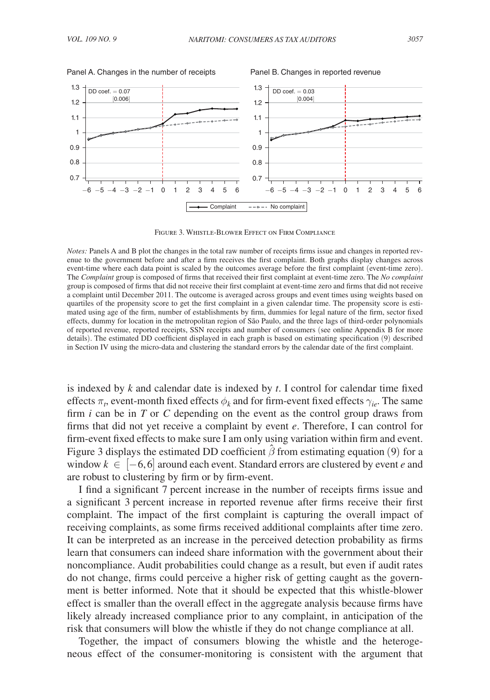

<span id="page-26-0"></span>Panel A. Changes in the number of receipts Panel B. Changes in reported revenue

Figure 3. Whistle-Blower Effect on Firm Compliance

*Notes:* Panels A and B plot the changes in the total raw number of receipts firms issue and changes in reported revenue to the government before and after a firm receives the first complaint. Both graphs display changes across event-time where each data point is scaled by the outcomes average before the first complaint (event-time zero). The *Complaint* group is composed of firms that received their first complaint at event-time zero. The *No complaint* group is composed of firms that did not receive their first complaint at event-time zero and firms that did not receive a complaint until December 2011. The outcome is averaged across groups and event times using weights based on quartiles of the propensity score to get the first complaint in a given calendar time. The propensity score is estimated using age of the firm, number of establishments by firm, dummies for legal nature of the firm, sector fixed effects, dummy for location in the metropolitan region of São Paulo, and the three lags of third-order polynomials of reported revenue, reported receipts, SSN receipts and number of consumers (see online Appendix B for more details). The estimated DD coefficient displayed in each graph is based on estimating specification (9) described in Section IV using the micro-data and clustering the standard errors by the calendar date of the first complaint.

is indexed by *k* and calendar date is indexed by *t*. I control for calendar time fixed effects  $\pi_t$ , event-month fixed effects  $\phi_k$  and for firm-event fixed effects  $\gamma_{ie}$ . The same firm *i* can be in *T* or *C* depending on the event as the control group draws from firms that did not yet receive a complaint by event *e*. Therefore, I can control for firm-event fixed effects to make sure I am only using variation within firm and event. Figure 3 displays the estimated DD coefficient  $\hat{\beta}$  from estimating equation (9) for a window *k* ∈ [−6, 6] around each event. Standard errors are clustered by event *e* and are robust to clustering by firm or by firm-event.

I find a significant 7 percent increase in the number of receipts firms issue and a significant 3 percent increase in reported revenue after firms receive their first complaint. The impact of the first complaint is capturing the overall impact of receiving complaints, as some firms received additional complaints after time zero. It can be interpreted as an increase in the perceived detection probability as firms learn that consumers can indeed share information with the government about their noncompliance. Audit probabilities could change as a result, but even if audit rates do not change, firms could perceive a higher risk of getting caught as the government is better informed. Note that it should be expected that this whistle-blower effect is smaller than the overall effect in the aggregate analysis because firms have likely already increased compliance prior to any complaint, in anticipation of the risk that consumers will blow the whistle if they do not change compliance at all.

Together, the impact of consumers blowing the whistle and the heterogeneous effect of the consumer-monitoring is consistent with the argument that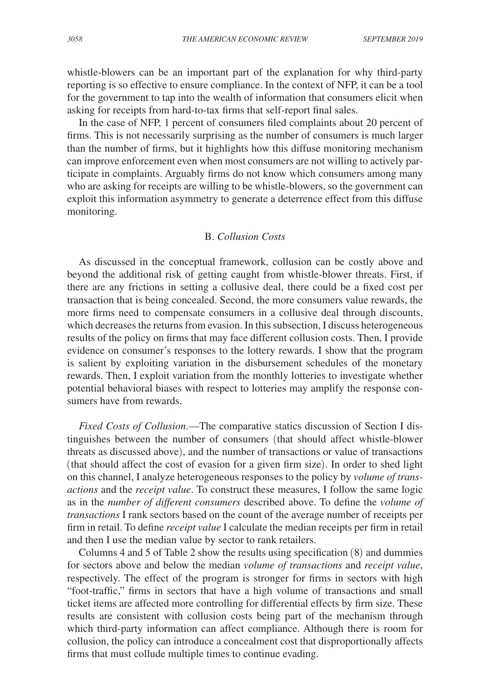whistle-blowers can be an important part of the explanation for why third-party reporting is so effective to ensure compliance. In the context of NFP, it can be a tool for the government to tap into the wealth of information that consumers elicit when asking for receipts from hard-to-tax firms that self-report final sales.

In the case of NFP, 1 percent of consumers filed complaints about 20 percent of firms. This is not necessarily surprising as the number of consumers is much larger than the number of firms, but it highlights how this diffuse monitoring mechanism can improve enforcement even when most consumers are not willing to actively participate in complaints. Arguably firms do not know which consumers among many who are asking for receipts are willing to be whistle-blowers, so the government can exploit this information asymmetry to generate a deterrence effect from this diffuse monitoring.

## B. *Collusion Costs*

As discussed in the conceptual framework, collusion can be costly above and beyond the additional risk of getting caught from whistle-blower threats. First, if there are any frictions in setting a collusive deal, there could be a fixed cost per transaction that is being concealed. Second, the more consumers value rewards, the more firms need to compensate consumers in a collusive deal through discounts, which decreases the returns from evasion. In this subsection, I discuss heterogeneous results of the policy on firms that may face different collusion costs. Then, I provide evidence on consumer's responses to the lottery rewards. I show that the program is salient by exploiting variation in the disbursement schedules of the monetary rewards. Then, I exploit variation from the monthly lotteries to investigate whether potential behavioral biases with respect to lotteries may amplify the response consumers have from rewards.

*Fixed Costs of Collusion*.—The comparative statics discussion of Section I distinguishes between the number of consumers (that should affect whistle-blower threats as discussed above), and the number of transactions or value of transactions (that should affect the cost of evasion for a given firm size). In order to shed light on this channel, I analyze heterogeneous responses to the policy by *volume of transactions* and the *receipt value*. To construct these measures, I follow the same logic as in the *number of different consumers* described above. To define the *volume of transactions* I rank sectors based on the count of the average number of receipts per firm in retail. To define *receipt value* I calculate the median receipts per firm in retail and then I use the median value by sector to rank retailers.

Columns 4 and 5 of Table 2 show the results using specification (8) and dummies for sectors above and below the median *volume of transactions* and *receipt value*, respectively. The effect of the program is stronger for firms in sectors with high "foot-traffic," firms in sectors that have a high volume of transactions and small ticket items are affected more controlling for differential effects by firm size. These results are consistent with collusion costs being part of the mechanism through which third-party information can affect compliance. Although there is room for collusion, the policy can introduce a concealment cost that disproportionally affects firms that must collude multiple times to continue evading.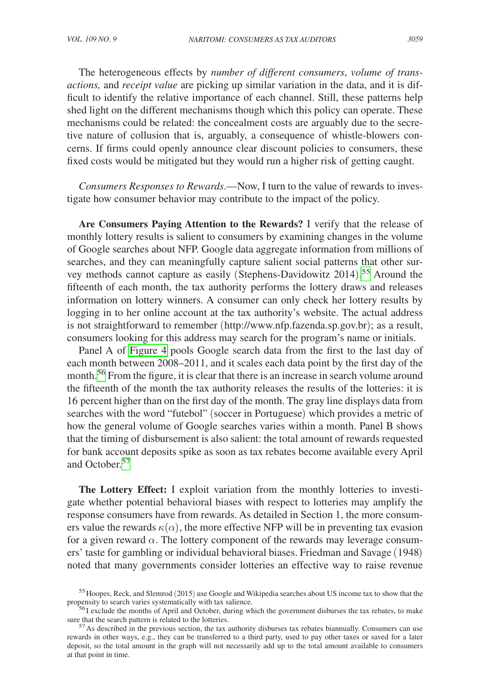The heterogeneous effects by *number of different consumers*, *volume of transactions,* and *receipt value* are picking up similar variation in the data, and it is difficult to identify the relative importance of each channel. Still, these patterns help shed light on the different mechanisms though which this policy can operate. These mechanisms could be related: the concealment costs are arguably due to the secretive nature of collusion that is, arguably, a consequence of whistle-blowers concerns. If firms could openly announce clear discount policies to consumers, these fixed costs would be mitigated but they would run a higher risk of getting caught.

*Consumers Responses to Rewards*.—Now, I turn to the value of rewards to investigate how consumer behavior may contribute to the impact of the policy.

**Are Consumers Paying Attention to the Rewards?** I verify that the release of monthly lottery results is salient to consumers by examining changes in the volume of Google searches about NFP. Google data aggregate information from millions of searches, and they can meaningfully capture salient social patterns that other survey methods cannot capture as easily (Stephens-Davidowitz 2014). [55](#page-28-0) Around the fifteenth of each month, the tax authority performs the lottery draws and releases information on lottery winners. A consumer can only check her lottery results by logging in to her online account at the tax authority's website. The actual address is not straightforward to remember (<http://www.nfp.fazenda.sp.gov.br>); as a result, consumers looking for this address may search for the program's name or initials.

Panel A of [Figure 4](#page-29-0) pools Google search data from the first to the last day of each month between 2008–2011, and it scales each data point by the first day of the month.<sup>56</sup> From the figure, it is clear that there is an increase in search volume around the fifteenth of the month the tax authority releases the results of the lotteries: it is 16 percent higher than on the first day of the month. The gray line displays data from searches with the word "futebol" (soccer in Portuguese) which provides a metric of how the general volume of Google searches varies within a month. Panel B shows that the timing of disbursement is also salient: the total amount of rewards requested for bank account deposits spike as soon as tax rebates become available every April and October<sup>[57](#page-28-2)</sup>

**The Lottery Effect:** I exploit variation from the monthly lotteries to investigate whether potential behavioral biases with respect to lotteries may amplify the response consumers have from rewards. As detailed in Section 1, the more consumers value the rewards  $\kappa(\alpha)$ , the more effective NFP will be in preventing tax evasion for a given reward  $\alpha$ . The lottery component of the rewards may leverage consumers' taste for gambling or individual behavioral biases. Friedman and Savage (1948) noted that many governments consider lotteries an effective way to raise revenue

<span id="page-28-0"></span> $55$  Hoopes, Reck, and Slemrod (2015) use Google and Wikipedia searches about US income tax to show that the propensity to search varies systematically with tax salience.

<span id="page-28-1"></span> $\frac{56}{56}$ I exclude the months of April and October, during which the government disburses the tax rebates, to make sure that the search pattern is related to the lotteries.

<span id="page-28-2"></span> $57$  As described in the previous section, the tax authority disburses tax rebates biannually. Consumers can use rewards in other ways, e.g., they can be transferred to a third party, used to pay other taxes or saved for a later deposit, so the total amount in the graph will not necessarily add up to the total amount available to consumers at that point in time.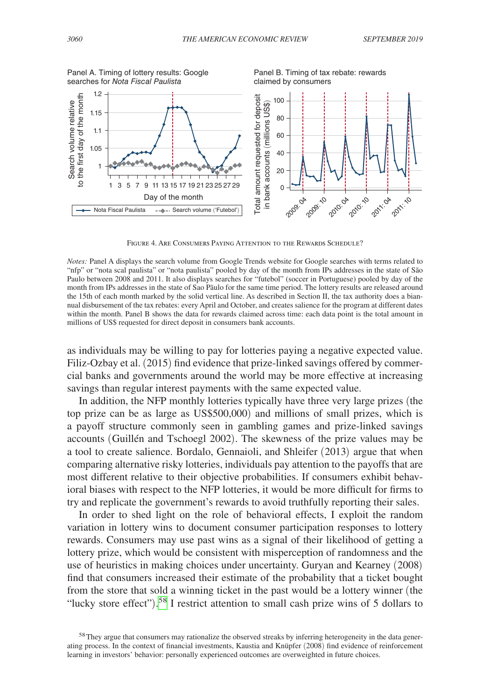<span id="page-29-0"></span>

Figure 4. Are Consumers Paying Attention to the Rewards Schedule?

*Notes:* Panel A displays the search volume from Google Trends website for Google searches with terms related to "nfp" or "nota scal paulista" or "nota paulista" pooled by day of the month from IPs addresses in the state of São Paulo between 2008 and 2011. It also displays searches for "futebol" (soccer in Portuguese) pooled by day of the month from IPs addresses in the state of Sao Pãulo for the same time period. The lottery results are released around the 15th of each month marked by the solid vertical line. As described in Section II, the tax authority does a biannual disbursement of the tax rebates: every April and October, and creates salience for the program at different dates within the month. Panel B shows the data for rewards claimed across time: each data point is the total amount in millions of US\$ requested for direct deposit in consumers bank accounts.

as individuals may be willing to pay for lotteries paying a negative expected value. Filiz-Ozbay et al. (2015) find evidence that prize-linked savings offered by commercial banks and governments around the world may be more effective at increasing savings than regular interest payments with the same expected value.

In addition, the NFP monthly lotteries typically have three very large prizes (the top prize can be as large as US\$500,000) and millions of small prizes, which is a payoff structure commonly seen in gambling games and prize-linked savings accounts (Guillén and Tschoegl 2002). The skewness of the prize values may be a tool to create salience. Bordalo, Gennaioli, and Shleifer (2013) argue that when comparing alternative risky lotteries, individuals pay attention to the payoffs that are most different relative to their objective probabilities. If consumers exhibit behavioral biases with respect to the NFP lotteries, it would be more difficult for firms to try and replicate the government's rewards to avoid truthfully reporting their sales.

In order to shed light on the role of behavioral effects, I exploit the random variation in lottery wins to document consumer participation responses to lottery rewards. Consumers may use past wins as a signal of their likelihood of getting a lottery prize, which would be consistent with misperception of randomness and the use of heuristics in making choices under uncertainty. Guryan and Kearney (2008) find that consumers increased their estimate of the probability that a ticket bought from the store that sold a winning ticket in the past would be a lottery winner (the "lucky store effect").<sup>58</sup> I restrict attention to small cash prize wins of 5 dollars to

<span id="page-29-1"></span><sup>&</sup>lt;sup>58</sup>They argue that consumers may rationalize the observed streaks by inferring heterogeneity in the data generating process. In the context of financial investments, Kaustia and Knüpfer (2008) find evidence of reinforcement learning in investors' behavior: personally experienced outcomes are overweighted in future choices.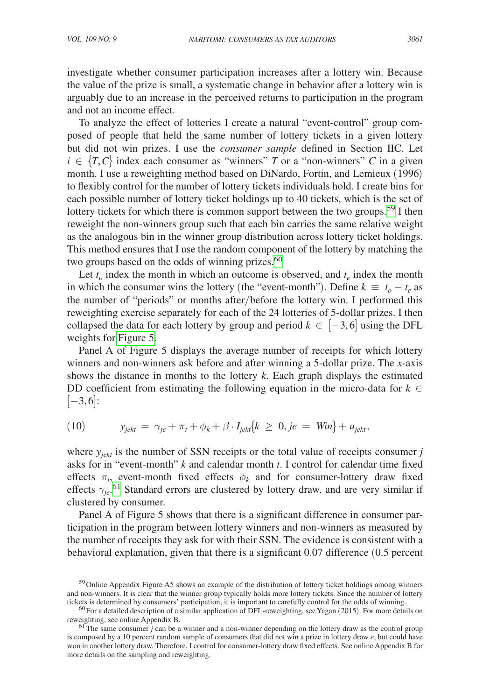investigate whether consumer participation increases after a lottery win. Because the value of the prize is small, a systematic change in behavior after a lottery win is arguably due to an increase in the perceived returns to participation in the program and not an income effect.

To analyze the effect of lotteries I create a natural "event-control" group composed of people that held the same number of lottery tickets in a given lottery but did not win prizes. I use the *consumer sample* defined in Section IIC. Let  $i \in \{T, C\}$  index each consumer as "winners" *T* or a "non-winners" *C* in a given month. I use a reweighting method based on DiNardo, Fortin, and Lemieux (1996) to flexibly control for the number of lottery tickets individuals hold. I create bins for each possible number of lottery ticket holdings up to 40 tickets, which is the set of lottery tickets for which there is common support between the two groups.<sup>59</sup> I then reweight the non-winners group such that each bin carries the same relative weight as the analogous bin in the winner group distribution across lottery ticket holdings. This method ensures that I use the random component of the lottery by matching the two groups based on the odds of winning prizes.<sup>[60](#page-30-1)</sup>

Let  $t_o$  index the month in which an outcome is observed, and  $t_e$  index the month in which the consumer wins the lottery (the "event-month"). Define  $k \equiv t_o - t_e$  as the number of "periods" or months after/before the lottery win. I performed this reweighting exercise separately for each of the 24 lotteries of 5-dollar prizes. I then collapsed the data for each lottery by group and period  $k \in [-3,6]$  using the DFL weights for [Figure 5.](#page-31-0)

Panel A of Figure 5 displays the average number of receipts for which lottery winners and non-winners ask before and after winning a 5-dollar prize. The *x*-axis shows the distance in months to the lottery *k*. Each graph displays the estimated DD coefficient from estimating the following equation in the micro-data for  $k \in$  $[-3,6]$ :

$$
(10) \t y_{jekt} = \gamma_{je} + \pi_t + \phi_k + \beta \cdot I_{jekt} \{ k \ge 0, je = Win \} + u_{jekt},
$$

where  $y_{i\acute{e}kt}$  is the number of SSN receipts or the total value of receipts consumer *j* asks for in "event-month" *k* and calendar month *t*. I control for calendar time fixed effects  $\pi_t$ , event-month fixed effects  $\phi_k$  and for consumer-lottery draw fixed effects  $\gamma_{je}$ <sup>[61](#page-30-2)</sup> Standard errors are clustered by lottery draw, and are very similar if clustered by consumer.

Panel A of Figure 5 shows that there is a significant difference in consumer participation in the program between lottery winners and non-winners as measured by the number of receipts they ask for with their SSN. The evidence is consistent with a behavioral explanation, given that there is a significant 0.07 difference (0.5 percent

<span id="page-30-0"></span><sup>&</sup>lt;sup>59</sup> Online Appendix Figure A5 shows an example of the distribution of lottery ticket holdings among winners and non-winners. It is clear that the winner group typically holds more lottery tickets. Since the number of lottery tickets is determined by consumers' participation, it is important to carefully control for the odds of w

<span id="page-30-1"></span><sup>&</sup>lt;sup>60</sup> For a detailed description of a similar application of DFL-reweighting, see Yagan (2015). For more details on reweighting, see online Appendix B.

<span id="page-30-2"></span> $\frac{61}{3}$ The same consumer *j* can be a winner and a non-winner depending on the lottery draw as the control group is composed by a 10 percent random sample of consumers that did not win a prize in lottery draw *e*, but could have won in another lottery draw. Therefore, I control for consumer-lottery draw fixed effects. See online Appendix B for more details on the sampling and reweighting.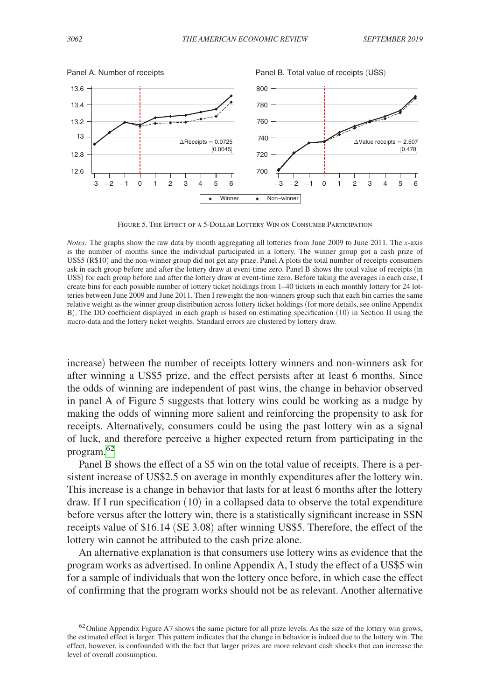<span id="page-31-0"></span>

Figure 5. The Effect of a 5-Dollar Lottery Win on Consumer Participation

increase) between the number of receipts lottery winners and non-winners ask for after winning a US\$5 prize, and the effect persists after at least 6 months. Since the odds of winning are independent of past wins, the change in behavior observed in panel A of Figure 5 suggests that lottery wins could be working as a nudge by making the odds of winning more salient and reinforcing the propensity to ask for receipts. Alternatively, consumers could be using the past lottery win as a signal of luck, and therefore perceive a higher expected return from participating in the program[.62](#page-31-1)

Panel B shows the effect of a \$5 win on the total value of receipts. There is a persistent increase of US\$2.5 on average in monthly expenditures after the lottery win. This increase is a change in behavior that lasts for at least 6 months after the lottery draw. If I run specification (10) in a collapsed data to observe the total expenditure before versus after the lottery win, there is a statistically significant increase in SSN receipts value of \$16.14 (SE 3.08) after winning US\$5. Therefore, the effect of the lottery win cannot be attributed to the cash prize alone.

An alternative explanation is that consumers use lottery wins as evidence that the program works as advertised. In online Appendix A, I study the effect of a US\$5 win for a sample of individuals that won the lottery once before, in which case the effect of confirming that the program works should not be as relevant. Another alternative

*Notes:* The graphs show the raw data by month aggregating all lotteries from June 2009 to June 2011. The *x*-axis is the number of months since the individual participated in a lottery. The winner group got a cash prize of US\$5 (R\$10) and the non-winner group did not get any prize. Panel A plots the total number of receipts consumers ask in each group before and after the lottery draw at event-time zero. Panel B shows the total value of receipts (in US\$) for each group before and after the lottery draw at event-time zero. Before taking the averages in each case, I create bins for each possible number of lottery ticket holdings from 1–40 tickets in each monthly lottery for 24 lotteries between June 2009 and June 2011. Then I reweight the non-winners group such that each bin carries the same relative weight as the winner group distribution across lottery ticket holdings (for more details, see online Appendix B). The DD coefficient displayed in each graph is based on estimating specification (10) in Section II using the micro-data and the lottery ticket weights. Standard errors are clustered by lottery draw.

<span id="page-31-1"></span> $62$  Online Appendix Figure A7 shows the same picture for all prize levels. As the size of the lottery win grows, the estimated effect is larger. This pattern indicates that the change in behavior is indeed due to the lottery win. The effect, however, is confounded with the fact that larger prizes are more relevant cash shocks that can increase the level of overall consumption.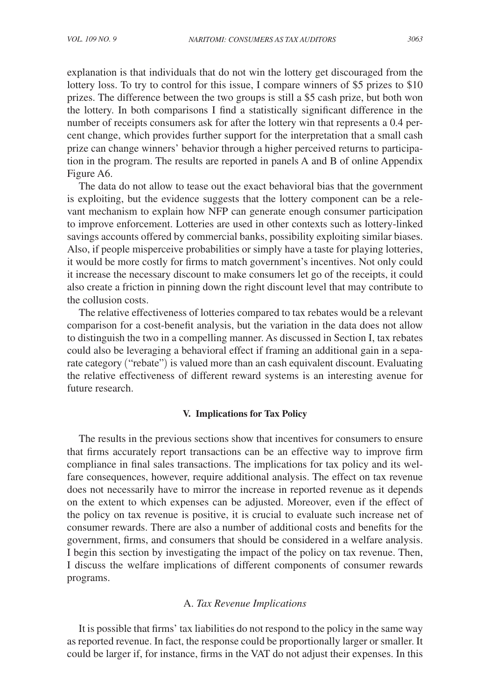explanation is that individuals that do not win the lottery get discouraged from the lottery loss. To try to control for this issue, I compare winners of \$5 prizes to \$10 prizes. The difference between the two groups is still a \$5 cash prize, but both won the lottery. In both comparisons I find a statistically significant difference in the number of receipts consumers ask for after the lottery win that represents a 0.4 percent change, which provides further support for the interpretation that a small cash prize can change winners' behavior through a higher perceived returns to participation in the program. The results are reported in panels A and B of online Appendix Figure A6.

The data do not allow to tease out the exact behavioral bias that the government is exploiting, but the evidence suggests that the lottery component can be a relevant mechanism to explain how NFP can generate enough consumer participation to improve enforcement. Lotteries are used in other contexts such as lottery-linked savings accounts offered by commercial banks, possibility exploiting similar biases. Also, if people misperceive probabilities or simply have a taste for playing lotteries, it would be more costly for firms to match government's incentives. Not only could it increase the necessary discount to make consumers let go of the receipts, it could also create a friction in pinning down the right discount level that may contribute to the collusion costs.

The relative effectiveness of lotteries compared to tax rebates would be a relevant comparison for a cost-benefit analysis, but the variation in the data does not allow to distinguish the two in a compelling manner. As discussed in Section I, tax rebates could also be leveraging a behavioral effect if framing an additional gain in a separate category ("rebate") is valued more than an cash equivalent discount. Evaluating the relative effectiveness of different reward systems is an interesting avenue for future research.

## **V. Implications for Tax Policy**

The results in the previous sections show that incentives for consumers to ensure that firms accurately report transactions can be an effective way to improve firm compliance in final sales transactions. The implications for tax policy and its welfare consequences, however, require additional analysis. The effect on tax revenue does not necessarily have to mirror the increase in reported revenue as it depends on the extent to which expenses can be adjusted. Moreover, even if the effect of the policy on tax revenue is positive, it is crucial to evaluate such increase net of consumer rewards. There are also a number of additional costs and benefits for the government, firms, and consumers that should be considered in a welfare analysis. I begin this section by investigating the impact of the policy on tax revenue. Then, I discuss the welfare implications of different components of consumer rewards programs.

## A. *Tax Revenue Implications*

It is possible that firms' tax liabilities do not respond to the policy in the same way as reported revenue. In fact, the response could be proportionally larger or smaller. It could be larger if, for instance, firms in the VAT do not adjust their expenses. In this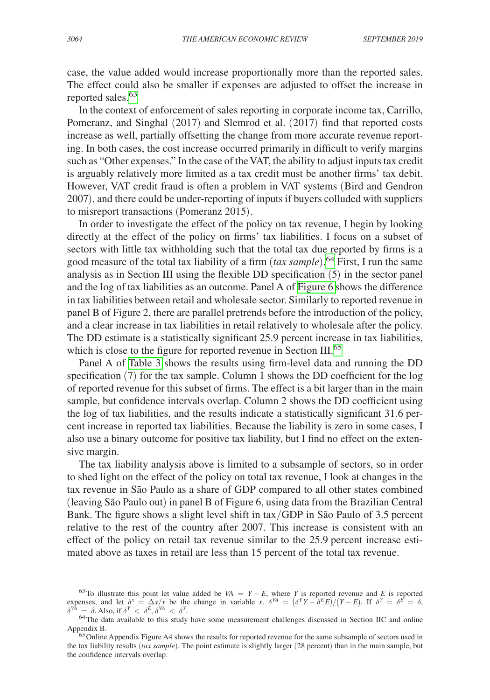case, the value added would increase proportionally more than the reported sales. The effect could also be smaller if expenses are adjusted to offset the increase in reported sales.<sup>[63](#page-33-0)</sup>

In the context of enforcement of sales reporting in corporate income tax, Carrillo, Pomeranz, and Singhal (2017) and Slemrod et al. (2017) find that reported costs increase as well, partially offsetting the change from more accurate revenue reporting. In both cases, the cost increase occurred primarily in difficult to verify margins such as "Other expenses." In the case of the VAT, the ability to adjust inputs tax credit is arguably relatively more limited as a tax credit must be another firms' tax debit. However, VAT credit fraud is often a problem in VAT systems (Bird and Gendron 2007), and there could be under-reporting of inputs if buyers colluded with suppliers to misreport transactions (Pomeranz 2015).

In order to investigate the effect of the policy on tax revenue, I begin by looking directly at the effect of the policy on firms' tax liabilities. I focus on a subset of sectors with little tax withholding such that the total tax due reported by firms is a good measure of the total tax liability of a firm (*tax sample*). [64](#page-33-1) First, I run the same analysis as in Section III using the flexible DD specification (5) in the sector panel and the log of tax liabilities as an outcome. Panel A of [Figure 6](#page-34-0) shows the difference in tax liabilities between retail and wholesale sector. Similarly to reported revenue in panel B of Figure 2, there are parallel pretrends before the introduction of the policy, and a clear increase in tax liabilities in retail relatively to wholesale after the policy. The DD estimate is a statistically significant 25.9 percent increase in tax liabilities, which is close to the figure for reported revenue in Section III.<sup>[65](#page-33-2)</sup>

Panel A of [Table 3](#page-35-0) shows the results using firm-level data and running the DD specification (7) for the tax sample. Column 1 shows the DD coefficient for the log of reported revenue for this subset of firms. The effect is a bit larger than in the main sample, but confidence intervals overlap. Column 2 shows the DD coefficient using the log of tax liabilities, and the results indicate a statistically significant 31.6 percent increase in reported tax liabilities. Because the liability is zero in some cases, I also use a binary outcome for positive tax liability, but I find no effect on the extensive margin.

The tax liability analysis above is limited to a subsample of sectors, so in order to shed light on the effect of the policy on total tax revenue, I look at changes in the tax revenue in São Paulo as a share of GDP compared to all other states combined (leaving São Paulo out) in panel B of Figure 6, using data from the Brazilian Central Bank. The figure shows a slight level shift in tax/GDP in São Paulo of 3.5 percent relative to the rest of the country after 2007. This increase is consistent with an effect of the policy on retail tax revenue similar to the 25.9 percent increase estimated above as taxes in retail are less than 15 percent of the total tax revenue.

<span id="page-33-0"></span><sup>63</sup>To illustrate this point let value added be  $VA = Y - E$ , where *Y* is reported revenue and *E* is reported expenses, and let  $\delta^x = \Delta x/x$  be the change in variable *x*.  $\delta^{VA} = (\delta^Y Y - \delta^E E)/(Y - E)$ . If  $\delta^Y = \delta^E = \overline{\delta}$ ,  $\delta^{VA}$  =  $\bar{\delta}$ . Also, if  $\delta^{Y} < \delta^{E}$ ,  $\delta^{VA} < \delta^{Y}$ 

<span id="page-33-1"></span><sup>&</sup>lt;sup>64</sup>The data available to this study have some measurement challenges discussed in Section IIC and online Appendix B.

<span id="page-33-2"></span><sup>&</sup>lt;sup>65</sup>Online Appendix Figure A4 shows the results for reported revenue for the same subsample of sectors used in the tax liability results (*tax sample*). The point estimate is slightly larger (28 percent) than in the main sample, but the confidence intervals overlap.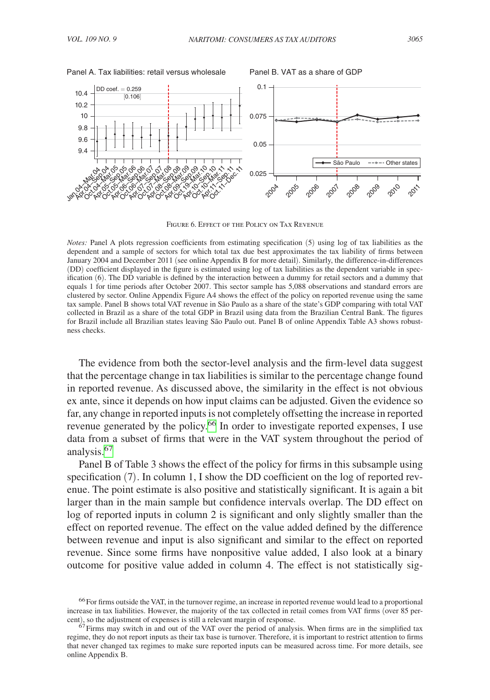<span id="page-34-0"></span>

Figure 6. Effect of the Policy on Tax Revenue

*Notes:* Panel A plots regression coefficients from estimating specification (5) using log of tax liabilities as the dependent and a sample of sectors for which total tax due best approximates the tax liability of firms between January 2004 and December 2011 (see online Appendix B for more detail). Similarly, the difference-in-differences (DD) coefficient displayed in the figure is estimated using log of tax liabilities as the dependent variable in specification (6). The DD variable is defined by the interaction between a dummy for retail sectors and a dummy that equals 1 for time periods after October 2007. This sector sample has 5,088 observations and standard errors are clustered by sector. Online Appendix Figure A4 shows the effect of the policy on reported revenue using the same tax sample. Panel B shows total VAT revenue in São Paulo as a share of the state's GDP comparing with total VAT collected in Brazil as a share of the total GDP in Brazil using data from the Brazilian Central Bank. The figures for Brazil include all Brazilian states leaving São Paulo out. Panel B of online Appendix Table A3 shows robustness checks.

The evidence from both the sector-level analysis and the firm-level data suggest that the percentage change in tax liabilities is similar to the percentage change found in reported revenue. As discussed above, the similarity in the effect is not obvious ex ante, since it depends on how input claims can be adjusted. Given the evidence so far, any change in reported inputs is not completely offsetting the increase in reported revenue generated by the policy.<sup>[66](#page-34-1)</sup> In order to investigate reported expenses, I use data from a subset of firms that were in the VAT system throughout the period of analysis[.67](#page-34-2)

Panel B of Table 3 shows the effect of the policy for firms in this subsample using specification (7). In column 1, I show the DD coefficient on the log of reported revenue. The point estimate is also positive and statistically significant. It is again a bit larger than in the main sample but confidence intervals overlap. The DD effect on log of reported inputs in column 2 is significant and only slightly smaller than the effect on reported revenue. The effect on the value added defined by the difference between revenue and input is also significant and similar to the effect on reported revenue. Since some firms have nonpositive value added, I also look at a binary outcome for positive value added in column 4. The effect is not statistically sig-

<span id="page-34-1"></span><sup>&</sup>lt;sup>66</sup> For firms outside the VAT, in the turnover regime, an increase in reported revenue would lead to a proportional increase in tax liabilities. However, the majority of the tax collected in retail comes from VAT firms (over 85 percent), so the adjustment of expenses is still a relevant margin of response.

<span id="page-34-2"></span> $67$  Firms may switch in and out of the VAT over the period of analysis. When firms are in the simplified tax regime, they do not report inputs as their tax base is turnover. Therefore, it is important to restrict attention to firms that never changed tax regimes to make sure reported inputs can be measured across time. For more details, see online Appendix B.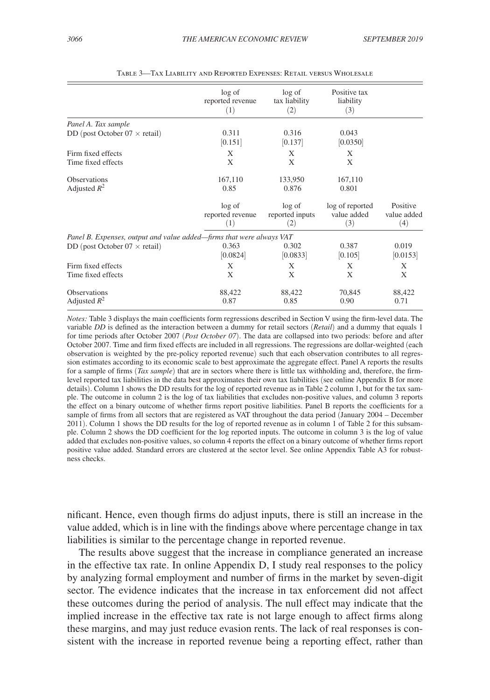<span id="page-35-0"></span>

|                                                                      | log of<br>reported revenue<br>(1) | log of<br>tax liability<br>(2)   | Positive tax<br>liability<br>(3)      |                                |
|----------------------------------------------------------------------|-----------------------------------|----------------------------------|---------------------------------------|--------------------------------|
| Panel A. Tax sample                                                  |                                   |                                  |                                       |                                |
| DD (post October $07 \times$ retail)                                 | 0.311<br>[0.151]                  | 0.316<br>[0.137]                 | 0.043<br>[0.0350]                     |                                |
| Firm fixed effects                                                   | X                                 | X                                | X                                     |                                |
| Time fixed effects                                                   | X                                 | X                                | X                                     |                                |
| Observations<br>Adjusted $R^2$                                       | 167,110<br>0.85                   | 133,950<br>0.876                 | 167,110<br>0.801                      |                                |
|                                                                      | log of<br>reported revenue<br>(1) | log of<br>reported inputs<br>(2) | log of reported<br>value added<br>(3) | Positive<br>value added<br>(4) |
| Panel B. Expenses, output and value added—firms that were always VAT |                                   |                                  |                                       |                                |
| DD (post October $07 \times$ retail)                                 | 0.363<br>[0.0824]                 | 0.302<br>[0.0833]                | 0.387<br>[0.105]                      | 0.019<br>[0.0153]              |
| Firm fixed effects                                                   | X                                 | X                                | X                                     | X                              |
| Time fixed effects                                                   | X                                 | X                                | X                                     | X                              |
| Observations<br>Adjusted $R^2$                                       | 88,422<br>0.87                    | 88,422<br>0.85                   | 70,845<br>0.90                        | 88,422<br>0.71                 |

Table 3—Tax Liability and Reported Expenses: Retail versus Wholesale

*Notes:* Table 3 displays the main coefficients form regressions described in Section V using the firm-level data. The variable *DD* is defined as the interaction between a dummy for retail sectors (*Retail*) and a dummy that equals 1 for time periods after October 2007 (*Post October 07*). The data are collapsed into two periods: before and after October 2007. Time and firm fixed effects are included in all regressions. The regressions are dollar-weighted (each observation is weighted by the pre-policy reported revenue) such that each observation contributes to all regression estimates according to its economic scale to best approximate the aggregate effect. Panel A reports the results for a sample of firms (*Tax sample*) that are in sectors where there is little tax withholding and, therefore, the firmlevel reported tax liabilities in the data best approximates their own tax liabilities (see online Appendix B for more details). Column 1 shows the DD results for the log of reported revenue as in Table 2 column 1, but for the tax sample. The outcome in column 2 is the log of tax liabilities that excludes non-positive values, and column 3 reports the effect on a binary outcome of whether firms report positive liabilities. Panel B reports the coefficients for a sample of firms from all sectors that are registered as VAT throughout the data period (January 2004 – December 2011). Column 1 shows the DD results for the log of reported revenue as in column 1 of Table 2 for this subsample. Column 2 shows the DD coefficient for the log reported inputs. The outcome in column 3 is the log of value added that excludes non-positive values, so column 4 reports the effect on a binary outcome of whether firms report positive value added. Standard errors are clustered at the sector level. See online Appendix Table A3 for robustness checks.

nificant. Hence, even though firms do adjust inputs, there is still an increase in the value added, which is in line with the findings above where percentage change in tax liabilities is similar to the percentage change in reported revenue.

The results above suggest that the increase in compliance generated an increase in the effective tax rate. In online Appendix D, I study real responses to the policy by analyzing formal employment and number of firms in the market by seven-digit sector. The evidence indicates that the increase in tax enforcement did not affect these outcomes during the period of analysis. The null effect may indicate that the implied increase in the effective tax rate is not large enough to affect firms along these margins, and may just reduce evasion rents. The lack of real responses is consistent with the increase in reported revenue being a reporting effect, rather than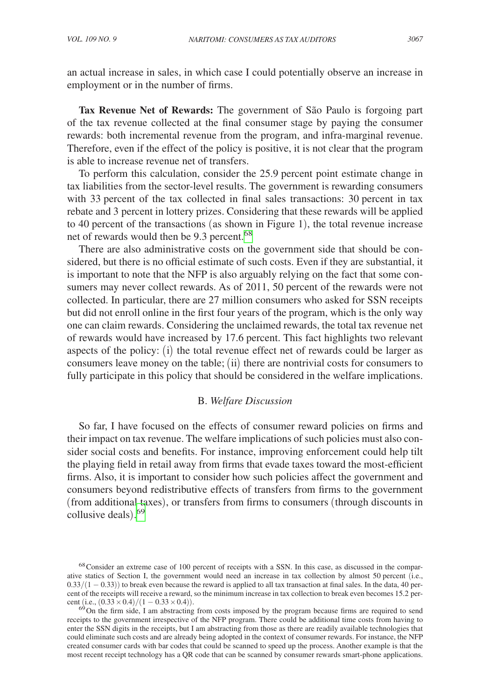an actual increase in sales, in which case I could potentially observe an increase in employment or in the number of firms.

**Tax Revenue Net of Rewards:** The government of São Paulo is forgoing part of the tax revenue collected at the final consumer stage by paying the consumer rewards: both incremental revenue from the program, and infra-marginal revenue. Therefore, even if the effect of the policy is positive, it is not clear that the program is able to increase revenue net of transfers.

To perform this calculation, consider the 25.9 percent point estimate change in tax liabilities from the sector-level results. The government is rewarding consumers with 33 percent of the tax collected in final sales transactions: 30 percent in tax rebate and 3 percent in lottery prizes. Considering that these rewards will be applied to 40 percent of the transactions (as shown in Figure 1), the total revenue increase net of rewards would then be 9.3 percent.<sup>[68](#page-36-0)</sup>

There are also administrative costs on the government side that should be considered, but there is no official estimate of such costs. Even if they are substantial, it is important to note that the NFP is also arguably relying on the fact that some consumers may never collect rewards. As of 2011, 50 percent of the rewards were not collected. In particular, there are 27 million consumers who asked for SSN receipts but did not enroll online in the first four years of the program, which is the only way one can claim rewards. Considering the unclaimed rewards, the total tax revenue net of rewards would have increased by 17.6 percent. This fact highlights two relevant aspects of the policy: (i) the total revenue effect net of rewards could be larger as consumers leave money on the table; (ii) there are nontrivial costs for consumers to fully participate in this policy that should be considered in the welfare implications.

#### B. *Welfare Discussion*

So far, I have focused on the effects of consumer reward policies on firms and their impact on tax revenue. The welfare implications of such policies must also consider social costs and benefits. For instance, improving enforcement could help tilt the playing field in retail away from firms that evade taxes toward the most-efficient firms. Also, it is important to consider how such policies affect the government and consumers beyond redistributive effects of transfers from firms to the government (from additional taxes), or transfers from firms to consumers (through discounts in collusive deals). [69](#page-36-1)

<span id="page-36-0"></span><sup>&</sup>lt;sup>68</sup>Consider an extreme case of 100 percent of receipts with a SSN. In this case, as discussed in the comparative statics of Section I, the government would need an increase in tax collection by almost 50 percent (i.e.,  $0.33/(1 - 0.33)$ ) to break even because the reward is applied to all tax transaction at final sales. In the data, 40 percent of the receipts will receive a reward, so the minimum increase in tax collection to break even becomes 15.2 per-<br>cent (i.e.,  $(0.33 \times 0.4)/(1 - 0.33 \times 0.4)$ ).

<span id="page-36-1"></span><sup>&</sup>lt;sup>69</sup>On the firm side, I am abstracting from costs imposed by the program because firms are required to send receipts to the government irrespective of the NFP program. There could be additional time costs from having to enter the SSN digits in the receipts, but I am abstracting from those as there are readily available technologies that could eliminate such costs and are already being adopted in the context of consumer rewards. For instance, the NFP created consumer cards with bar codes that could be scanned to speed up the process. Another example is that the most recent receipt technology has a QR code that can be scanned by consumer rewards smart-phone applications.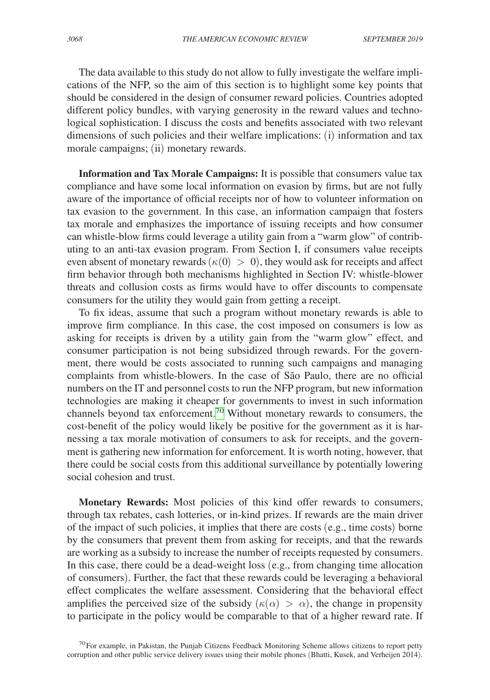The data available to this study do not allow to fully investigate the welfare implications of the NFP, so the aim of this section is to highlight some key points that should be considered in the design of consumer reward policies. Countries adopted different policy bundles, with varying generosity in the reward values and technological sophistication. I discuss the costs and benefits associated with two relevant dimensions of such policies and their welfare implications: (i) information and tax morale campaigns; (ii) monetary rewards.

**Information and Tax Morale Campaigns:** It is possible that consumers value tax compliance and have some local information on evasion by firms, but are not fully aware of the importance of official receipts nor of how to volunteer information on tax evasion to the government. In this case, an information campaign that fosters tax morale and emphasizes the importance of issuing receipts and how consumer can whistle-blow firms could leverage a utility gain from a "warm glow" of contributing to an anti-tax evasion program. From Section I, if consumers value receipts even absent of monetary rewards ( $\kappa(0) > 0$ ), they would ask for receipts and affect firm behavior through both mechanisms highlighted in Section IV: whistle-blower threats and collusion costs as firms would have to offer discounts to compensate consumers for the utility they would gain from getting a receipt.

To fix ideas, assume that such a program without monetary rewards is able to improve firm compliance. In this case, the cost imposed on consumers is low as asking for receipts is driven by a utility gain from the "warm glow" effect, and consumer participation is not being subsidized through rewards. For the government, there would be costs associated to running such campaigns and managing complaints from whistle-blowers. In the case of São Paulo, there are no official numbers on the IT and personnel costs to run the NFP program, but new information technologies are making it cheaper for governments to invest in such information channels beyond tax enforcement.[70](#page-37-0) Without monetary rewards to consumers, the cost-benefit of the policy would likely be positive for the government as it is harnessing a tax morale motivation of consumers to ask for receipts, and the government is gathering new information for enforcement. It is worth noting, however, that there could be social costs from this additional surveillance by potentially lowering social cohesion and trust.

**Monetary Rewards:** Most policies of this kind offer rewards to consumers, through tax rebates, cash lotteries, or in-kind prizes. If rewards are the main driver of the impact of such policies, it implies that there are costs (e.g., time costs) borne by the consumers that prevent them from asking for receipts, and that the rewards are working as a subsidy to increase the number of receipts requested by consumers. In this case, there could be a dead-weight loss (e.g., from changing time allocation of consumers). Further, the fact that these rewards could be leveraging a behavioral effect complicates the welfare assessment. Considering that the behavioral effect amplifies the perceived size of the subsidy  $(\kappa(\alpha) > \alpha)$ , the change in propensity to participate in the policy would be comparable to that of a higher reward rate. If

<span id="page-37-0"></span> $70$  For example, in Pakistan, the Punjab Citizens Feedback Monitoring Scheme allows citizens to report petty corruption and other public service delivery issues using their mobile phones (Bhatti, Kusek, and Verheijen 2014).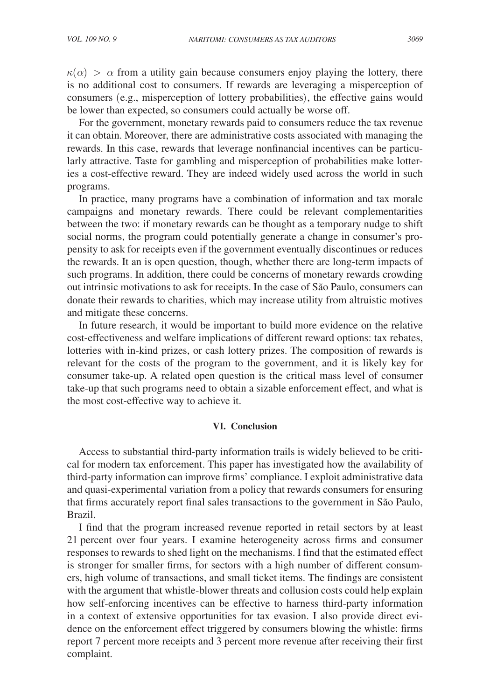$\kappa(\alpha) > \alpha$  from a utility gain because consumers enjoy playing the lottery, there is no additional cost to consumers. If rewards are leveraging a misperception of consumers (e.g., misperception of lottery probabilities), the effective gains would be lower than expected, so consumers could actually be worse off.

For the government, monetary rewards paid to consumers reduce the tax revenue it can obtain. Moreover, there are administrative costs associated with managing the rewards. In this case, rewards that leverage nonfinancial incentives can be particularly attractive. Taste for gambling and misperception of probabilities make lotteries a cost-effective reward. They are indeed widely used across the world in such programs.

In practice, many programs have a combination of information and tax morale campaigns and monetary rewards. There could be relevant complementarities between the two: if monetary rewards can be thought as a temporary nudge to shift social norms, the program could potentially generate a change in consumer's propensity to ask for receipts even if the government eventually discontinues or reduces the rewards. It an is open question, though, whether there are long-term impacts of such programs. In addition, there could be concerns of monetary rewards crowding out intrinsic motivations to ask for receipts. In the case of São Paulo, consumers can donate their rewards to charities, which may increase utility from altruistic motives and mitigate these concerns.

In future research, it would be important to build more evidence on the relative cost-effectiveness and welfare implications of different reward options: tax rebates, lotteries with in-kind prizes, or cash lottery prizes. The composition of rewards is relevant for the costs of the program to the government, and it is likely key for consumer take-up. A related open question is the critical mass level of consumer take-up that such programs need to obtain a sizable enforcement effect, and what is the most cost-effective way to achieve it.

#### **VI. Conclusion**

Access to substantial third-party information trails is widely believed to be critical for modern tax enforcement. This paper has investigated how the availability of third-party information can improve firms' compliance. I exploit administrative data and quasi-experimental variation from a policy that rewards consumers for ensuring that firms accurately report final sales transactions to the government in São Paulo, Brazil.

I find that the program increased revenue reported in retail sectors by at least 21 percent over four years. I examine heterogeneity across firms and consumer responses to rewards to shed light on the mechanisms. I find that the estimated effect is stronger for smaller firms, for sectors with a high number of different consumers, high volume of transactions, and small ticket items. The findings are consistent with the argument that whistle-blower threats and collusion costs could help explain how self-enforcing incentives can be effective to harness third-party information in a context of extensive opportunities for tax evasion. I also provide direct evidence on the enforcement effect triggered by consumers blowing the whistle: firms report 7 percent more receipts and 3 percent more revenue after receiving their first complaint.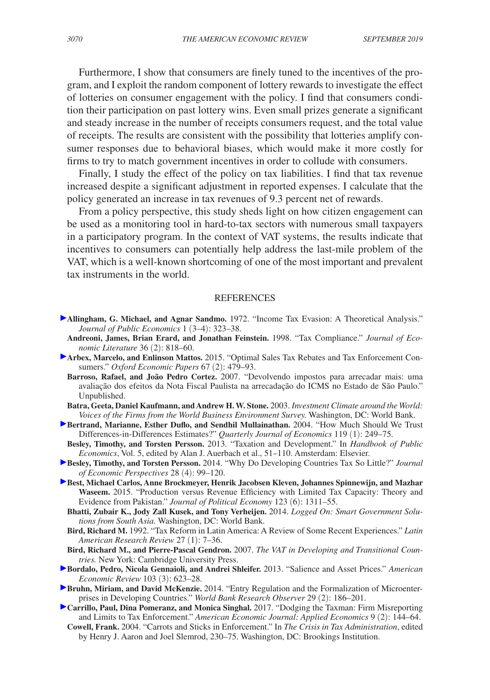Furthermore, I show that consumers are finely tuned to the incentives of the program, and I exploit the random component of lottery rewards to investigate the effect of lotteries on consumer engagement with the policy. I find that consumers condition their participation on past lottery wins. Even small prizes generate a significant and steady increase in the number of receipts consumers request, and the total value of receipts. The results are consistent with the possibility that lotteries amplify consumer responses due to behavioral biases, which would make it more costly for firms to try to match government incentives in order to collude with consumers.

Finally, I study the effect of the policy on tax liabilities. I find that tax revenue increased despite a significant adjustment in reported expenses. I calculate that the policy generated an increase in tax revenues of 9.3 percent net of rewards.

From a policy perspective, this study sheds light on how citizen engagement can be used as a monitoring tool in hard-to-tax sectors with numerous small taxpayers in a participatory program. In the context of VAT systems, the results indicate that incentives to consumers can potentially help address the last-mile problem of the VAT, which is a well-known shortcoming of one of the most important and prevalent tax instruments in the world.

#### **REFERENCES**

- **Allingham, G. Michael, and Agnar Sandmo.** 1972. "Income Tax Evasion: A Theoretical Analysis." *Journal of Public Economics* 1 (3–4): 323–38.
	- **Andreoni, James, Brian Erard, and Jonathan Feinstein.** 1998. "Tax Compliance." *Journal of Economic Literature* 36 (2): 818–60.
- **Arbex, Marcelo, and Enlinson Mattos.** 2015. "Optimal Sales Tax Rebates and Tax Enforcement Consumers." *Oxford Economic Papers* 67 (2): 479–93.
	- **Barroso, Rafael, and João Pedro Cortez.** 2007. "Devolvendo impostos para arrecadar mais: uma avaliação dos efeitos da Nota Fiscal Paulista na arrecadação do ICMS no Estado de São Paulo." Unpublished.
	- **Batra, Geeta, Daniel Kaufmann, and Andrew H. W. Stone.** 2003. *Investment Climate around the World: Voices of the Firms from the World Business Environment Survey.* Washington, DC: World Bank.
- **Bertrand, Marianne, Esther Duflo, and Sendhil Mullainathan.** 2004. "How Much Should We Trust Differences-in-Differences Estimates?" *Quarterly Journal of Economics* 119 (1): 249–75.
- **Besley, Timothy, and Torsten Persson.** 2013. "Taxation and Development." In *Handbook of Public Economics*, Vol. 5, edited by Alan J. Auerbach et al., 51–110. Amsterdam: Elsevier.
- **Besley, Timothy, and Torsten Persson.** 2014. "Why Do Developing Countries Tax So Little?" *Journal of Economic Perspectives* 28 (4): 99–120.
- **Best, Michael Carlos, Anne Brockmeyer, Henrik Jacobsen Kleven, Johannes Spinnewijn, and Mazhar Waseem.** 2015. "Production versus Revenue Efficiency with Limited Tax Capacity: Theory and Evidence from Pakistan." *Journal of Political Economy* 123 (6): 1311–55.
	- **Bhatti, Zubair K., Jody Zall Kusek, and Tony Verheijen.** 2014. *Logged On: Smart Government Solutions from South Asia.* Washington, DC: World Bank.
	- **Bird, Richard M.** 1992. "Tax Reform in Latin America: A Review of Some Recent Experiences." *Latin American Research Review* 27 (1): 7–36.
	- **Bird, Richard M., and Pierre-Pascal Gendron.** 2007. *The VAT in Developing and Transitional Countries.* New York: Cambridge University Press.
- **Bordalo, Pedro, Nicola Gennaioli, and Andrei Shleifer.** 2013. "Salience and Asset Prices." *American Economic Review* 103 (3): 623–28.
- **Bruhn, Miriam, and David McKenzie.** 2014. "Entry Regulation and the Formalization of Microenterprises in Developing Countries." *World Bank Research Observer* 29 (2): 186–201.
- **Carrillo, Paul, Dina Pomeranz, and Monica Singhal.** 2017. "Dodging the Taxman: Firm Misreporting and Limits to Tax Enforcement." *American Economic Journal: Applied Economics* 9 (2): 144–64.
- **Cowell, Frank.** 2004. "Carrots and Sticks in Enforcement." In *The Crisis in Tax Administration*, edited by Henry J. Aaron and Joel Slemrod, 230–75. Washington, DC: Brookings Institution.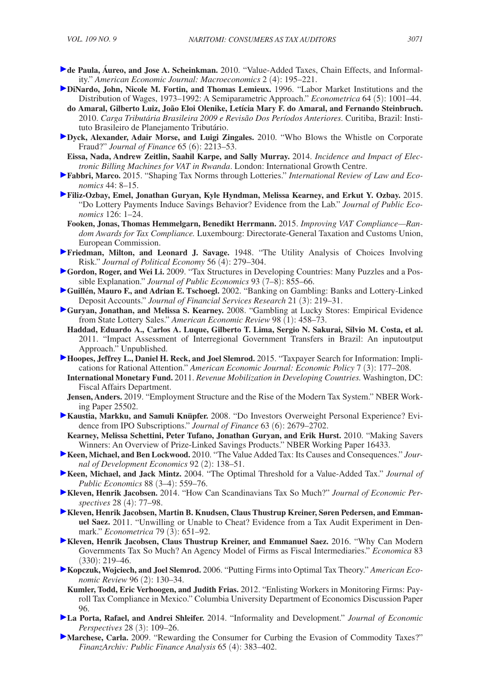- **de Paula, Áureo, and Jose A. Scheinkman.** 2010. "Value-Added Taxes, Chain Effects, and Informality." *American Economic Journal: Macroeconomics* 2 (4): 195–221.
- **DiNardo, John, Nicole M. Fortin, and Thomas Lemieux.** 1996. "Labor Market Institutions and the Distribution of Wages, 1973–1992: A Semiparametric Approach." *Econometrica* 64 (5): 1001–44.
- **do Amaral, Gilberto Luiz, João Eloi Olenike, Letícia Mary F. do Amaral, and Fernando Steinbruch.**  2010. *Carga Tributária Brasileira 2009 e Revisão Dos Períodos Anteriores.* Curitiba, Brazil: Instituto Brasileiro de Planejamento Tributário.
- **Dyck, Alexander, Adair Morse, and Luigi Zingales.** 2010. "Who Blows the Whistle on Corporate Fraud?" *Journal of Finance* 65 (6): 2213–53.
- **Eissa, Nada, Andrew Zeitlin, Saahil Karpe, and Sally Murray.** 2014. *Incidence and Impact of Electronic Billing Machines for VAT in Rwanda*. London: International Growth Centre.
- **Fabbri, Marco.** 2015. "Shaping Tax Norms through Lotteries." *International Review of Law and Economics* 44: 8–15.
- **Filiz-Ozbay, Emel, Jonathan Guryan, Kyle Hyndman, Melissa Kearney, and Erkut Y. Ozbay.** 2015. "Do Lottery Payments Induce Savings Behavior? Evidence from the Lab." *Journal of Public Economics* 126: 1–24.
	- **Fooken, Jonas, Thomas Hemmelgarn, Benedikt Herrmann.** 2015. *Improving VAT Compliance—Random Awards for Tax Compliance.* Luxembourg: Directorate-General Taxation and Customs Union, European Commission.
- **Friedman, Milton, and Leonard J. Savage.** 1948. "The Utility Analysis of Choices Involving Risk." *Journal of Political Economy* 56 (4): 279–304.
- **Gordon, Roger, and Wei Li.** 2009. "Tax Structures in Developing Countries: Many Puzzles and a Possible Explanation." *Journal of Public Economics* 93 (7–8): 855–66.
- **Guillén, Mauro F., and Adrian E. Tschoegl.** 2002. "Banking on Gambling: Banks and Lottery-Linked Deposit Accounts." *Journal of Financial Services Research* 21 (3): 219–31.
- **Guryan, Jonathan, and Melissa S. Kearney.** 2008. "Gambling at Lucky Stores: Empirical Evidence from State Lottery Sales." *American Economic Review* 98 (1): 458–73.
- **Haddad, Eduardo A., Carlos A. Luque, Gilberto T. Lima, Sergio N. Sakurai, Silvio M. Costa, et al.**  2011. "Impact Assessment of Interregional Government Transfers in Brazil: An inputoutput Approach." Unpublished.
- **Hoopes, Jeffrey L., Daniel H. Reck, and Joel Slemrod.** 2015. "Taxpayer Search for Information: Implications for Rational Attention." *American Economic Journal: Economic Policy* 7 (3): 177–208.
	- **International Monetary Fund.** 2011. *Revenue Mobilization in Developing Countries.* Washington, DC: Fiscal Affairs Department.
- **Jensen, Anders.** 2019. "Employment Structure and the Rise of the Modern Tax System." NBER Working Paper 25502.
- **Kaustia, Markku, and Samuli Knüpfer.** 2008. "Do Investors Overweight Personal Experience? Evidence from IPO Subscriptions." *Journal of Finance* 63 (6): 2679–2702.
- **Kearney, Melissa Schettini, Peter Tufano, Jonathan Guryan, and Erik Hurst.** 2010. "Making Savers Winners: An Overview of Prize-Linked Savings Products." NBER Working Paper 16433.
- **Keen, Michael, and Ben Lockwood.** 2010. "The Value Added Tax: Its Causes and Consequences." *Journal of Development Economics* 92 (2): 138–51.
- **Keen, Michael, and Jack Mintz.** 2004. "The Optimal Threshold for a Value-Added Tax." *Journal of Public Economics* 88 (3–4): 559–76.
- **Kleven, Henrik Jacobsen.** 2014. "How Can Scandinavians Tax So Much?" *Journal of Economic Perspectives* 28 (4): 77–98.
- **Kleven, Henrik Jacobsen, Martin B. Knudsen, Claus Thustrup Kreiner, Søren Pedersen, and Emmanuel Saez.** 2011. "Unwilling or Unable to Cheat? Evidence from a Tax Audit Experiment in Denmark." *Econometrica* 79 (3): 651–92.
- **Kleven, Henrik Jacobsen, Claus Thustrup Kreiner, and Emmanuel Saez.** 2016. "Why Can Modern Governments Tax So Much? An Agency Model of Firms as Fiscal Intermediaries." *Economica* 83  $(330): 219 - 46.$
- **Kopczuk, Wojciech, and Joel Slemrod.** 2006. "Putting Firms into Optimal Tax Theory." *American Economic Review* 96 (2): 130–34.
	- **Kumler, Todd, Eric Verhoogen, and Judith Frias.** 2012. "Enlisting Workers in Monitoring Firms: Payroll Tax Compliance in Mexico." Columbia University Department of Economics Discussion Paper 96.
- **La Porta, Rafael, and Andrei Shleifer.** 2014. "Informality and Development." *Journal of Economic Perspectives* 28 (3): 109–26.
- **Marchese, Carla.** 2009. "Rewarding the Consumer for Curbing the Evasion of Commodity Taxes?" *FinanzArchiv: Public Finance Analysis* 65 (4): 383–402.